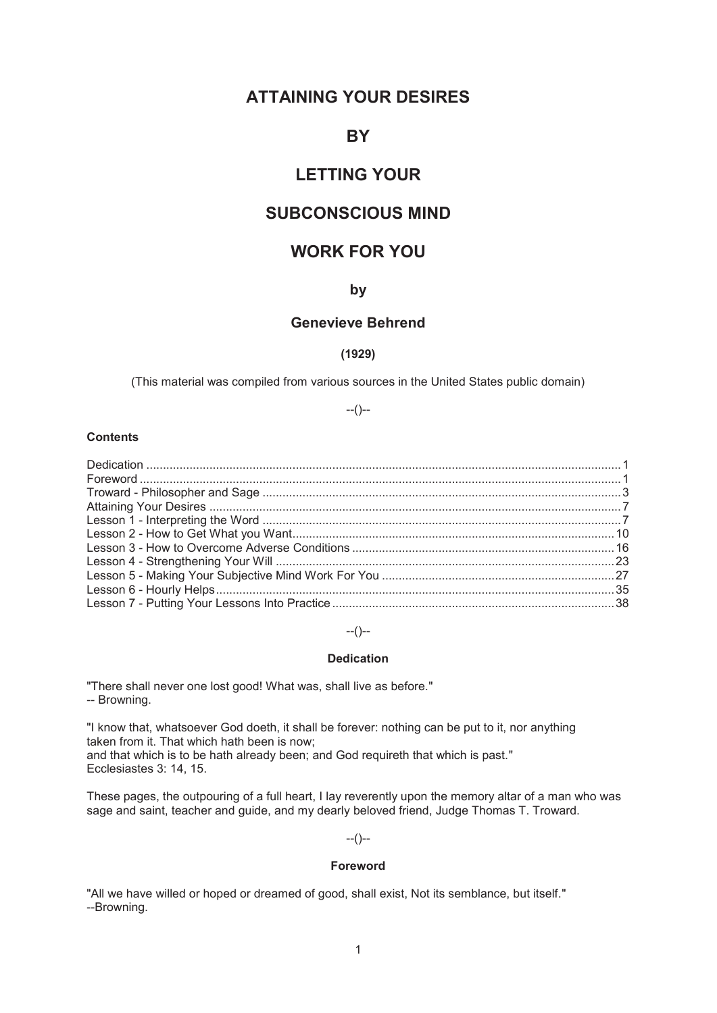# **ATTAINING YOUR DESIRES**

# **BY**

# **LETTING YOUR**

# **SUBCONSCIOUS MIND**

# **WORK FOR YOU**

# **by**

# **Genevieve Behrend**

# **(1929)**

(This material was compiled from various sources in the United States public domain)

--()--

## **Contents**

#### --()--

# **Dedication**

"There shall never one lost good! What was, shall live as before." -- Browning.

"I know that, whatsoever God doeth, it shall be forever: nothing can be put to it, nor anything taken from it. That which hath been is now; and that which is to be hath already been; and God requireth that which is past." Ecclesiastes 3: 14, 15.

These pages, the outpouring of a full heart, I lay reverently upon the memory altar of a man who was sage and saint, teacher and guide, and my dearly beloved friend, Judge Thomas T. Troward.

 $-(-)$ 

## **Foreword**

"All we have willed or hoped or dreamed of good, shall exist, Not its semblance, but itself." --Browning.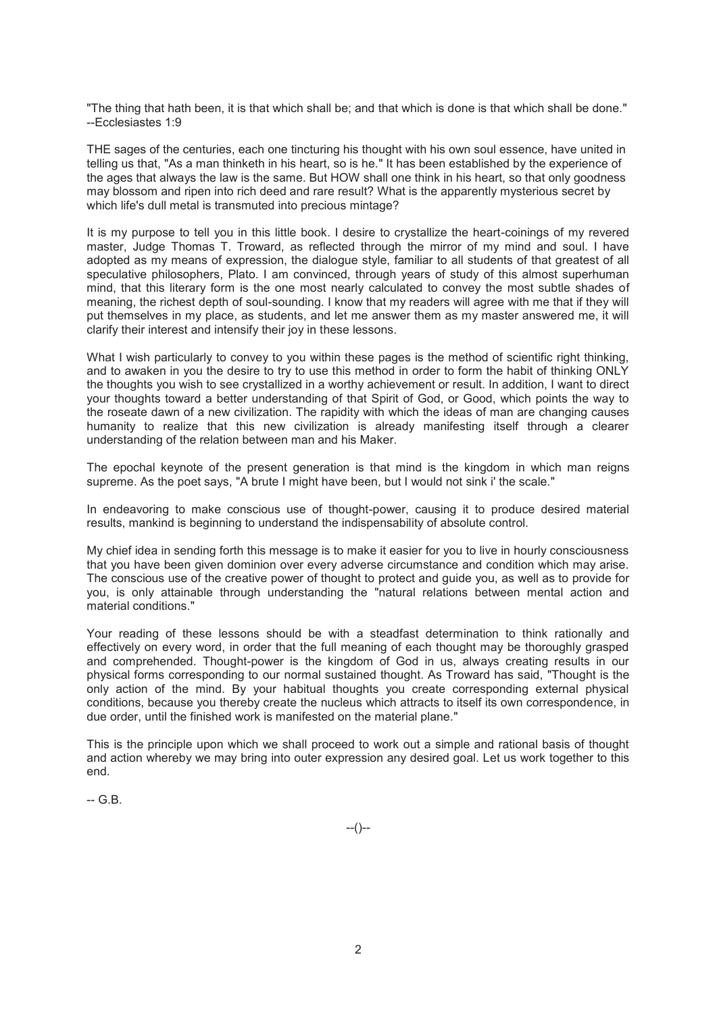"The thing that hath been, it is that which shall be; and that which is done is that which shall be done." --Ecclesiastes 1:9

THE sages of the centuries, each one tincturing his thought with his own soul essence, have united in telling us that, "As a man thinketh in his heart, so is he." It has been established by the experience of the ages that always the law is the same. But HOW shall one think in his heart, so that only goodness may blossom and ripen into rich deed and rare result? What is the apparently mysterious secret by which life's dull metal is transmuted into precious mintage?

It is my purpose to tell you in this little book. I desire to crystallize the heart-coinings of my revered master, Judge Thomas T. Troward, as reflected through the mirror of my mind and soul. I have adopted as my means of expression, the dialogue style, familiar to all students of that greatest of all speculative philosophers, Plato. I am convinced, through years of study of this almost superhuman mind, that this literary form is the one most nearly calculated to convey the most subtle shades of meaning, the richest depth of soul-sounding. I know that my readers will agree with me that if they will put themselves in my place, as students, and let me answer them as my master answered me, it will clarify their interest and intensify their joy in these lessons.

What I wish particularly to convey to you within these pages is the method of scientific right thinking, and to awaken in you the desire to try to use this method in order to form the habit of thinking ONLY the thoughts you wish to see crystallized in a worthy achievement or result. In addition, I want to direct your thoughts toward a better understanding of that Spirit of God, or Good, which points the way to the roseate dawn of a new civilization. The rapidity with which the ideas of man are changing causes humanity to realize that this new civilization is already manifesting itself through a clearer understanding of the relation between man and his Maker.

The epochal keynote of the present generation is that mind is the kingdom in which man reigns supreme. As the poet says, "A brute I might have been, but I would not sink i' the scale."

In endeavoring to make conscious use of thought-power, causing it to produce desired material results, mankind is beginning to understand the indispensability of absolute control.

My chief idea in sending forth this message is to make it easier for you to live in hourly consciousness that you have been given dominion over every adverse circumstance and condition which may arise. The conscious use of the creative power of thought to protect and guide you, as well as to provide for you, is only attainable through understanding the "natural relations between mental action and material conditions."

Your reading of these lessons should be with a steadfast determination to think rationally and effectively on every word, in order that the full meaning of each thought may be thoroughly grasped and comprehended. Thought-power is the kingdom of God in us, always creating results in our physical forms corresponding to our normal sustained thought. As Troward has said, "Thought is the only action of the mind. By your habitual thoughts you create corresponding external physical conditions, because you thereby create the nucleus which attracts to itself its own correspondence, in due order, until the finished work is manifested on the material plane."

This is the principle upon which we shall proceed to work out a simple and rational basis of thought and action whereby we may bring into outer expression any desired goal. Let us work together to this end.

-- G.B.

--()--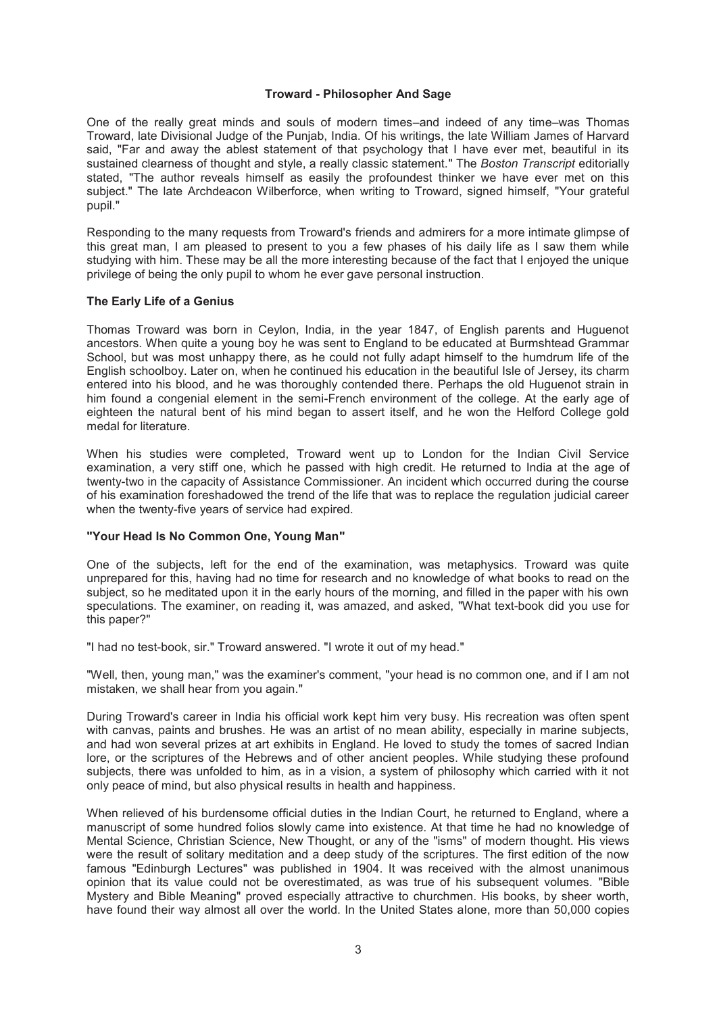## **Troward - Philosopher And Sage**

One of the really great minds and souls of modern times–and indeed of any time–was Thomas Troward, late Divisional Judge of the Punjab, India. Of his writings, the late William James of Harvard said, "Far and away the ablest statement of that psychology that I have ever met, beautiful in its sustained clearness of thought and style, a really classic statement." The *Boston Transcript* editorially stated, "The author reveals himself as easily the profoundest thinker we have ever met on this subject." The late Archdeacon Wilberforce, when writing to Troward, signed himself, "Your grateful pupil."

Responding to the many requests from Troward's friends and admirers for a more intimate glimpse of this great man, I am pleased to present to you a few phases of his daily life as I saw them while studying with him. These may be all the more interesting because of the fact that I enjoyed the unique privilege of being the only pupil to whom he ever gave personal instruction.

## **The Early Life of a Genius**

Thomas Troward was born in Ceylon, India, in the year 1847, of English parents and Huguenot ancestors. When quite a young boy he was sent to England to be educated at Burmshtead Grammar School, but was most unhappy there, as he could not fully adapt himself to the humdrum life of the English schoolboy. Later on, when he continued his education in the beautiful Isle of Jersey, its charm entered into his blood, and he was thoroughly contended there. Perhaps the old Huguenot strain in him found a congenial element in the semi-French environment of the college. At the early age of eighteen the natural bent of his mind began to assert itself, and he won the Helford College gold medal for literature.

When his studies were completed, Troward went up to London for the Indian Civil Service examination, a very stiff one, which he passed with high credit. He returned to India at the age of twenty-two in the capacity of Assistance Commissioner. An incident which occurred during the course of his examination foreshadowed the trend of the life that was to replace the regulation judicial career when the twenty-five years of service had expired.

#### **"Your Head Is No Common One, Young Man"**

One of the subjects, left for the end of the examination, was metaphysics. Troward was quite unprepared for this, having had no time for research and no knowledge of what books to read on the subject, so he meditated upon it in the early hours of the morning, and filled in the paper with his own speculations. The examiner, on reading it, was amazed, and asked, "What text-book did you use for this paper?"

"I had no test-book, sir." Troward answered. "I wrote it out of my head."

"Well, then, young man," was the examiner's comment, "your head is no common one, and if I am not mistaken, we shall hear from you again."

During Troward's career in India his official work kept him very busy. His recreation was often spent with canvas, paints and brushes. He was an artist of no mean ability, especially in marine subjects, and had won several prizes at art exhibits in England. He loved to study the tomes of sacred Indian lore, or the scriptures of the Hebrews and of other ancient peoples. While studying these profound subjects, there was unfolded to him, as in a vision, a system of philosophy which carried with it not only peace of mind, but also physical results in health and happiness.

When relieved of his burdensome official duties in the Indian Court, he returned to England, where a manuscript of some hundred folios slowly came into existence. At that time he had no knowledge of Mental Science, Christian Science, New Thought, or any of the "isms" of modern thought. His views were the result of solitary meditation and a deep study of the scriptures. The first edition of the now famous "Edinburgh Lectures" was published in 1904. It was received with the almost unanimous opinion that its value could not be overestimated, as was true of his subsequent volumes. "Bible Mystery and Bible Meaning" proved especially attractive to churchmen. His books, by sheer worth, have found their way almost all over the world. In the United States alone, more than 50,000 copies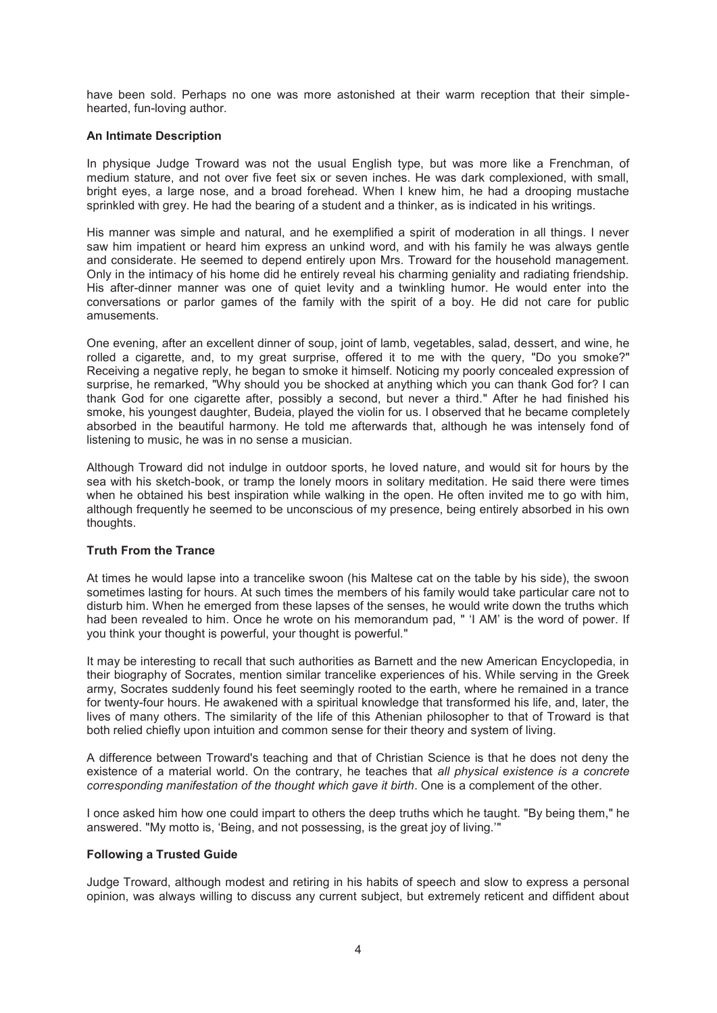have been sold. Perhaps no one was more astonished at their warm reception that their simplehearted, fun-loving author.

## **An Intimate Description**

In physique Judge Troward was not the usual English type, but was more like a Frenchman, of medium stature, and not over five feet six or seven inches. He was dark complexioned, with small, bright eyes, a large nose, and a broad forehead. When I knew him, he had a drooping mustache sprinkled with grey. He had the bearing of a student and a thinker, as is indicated in his writings.

His manner was simple and natural, and he exemplified a spirit of moderation in all things. I never saw him impatient or heard him express an unkind word, and with his family he was always gentle and considerate. He seemed to depend entirely upon Mrs. Troward for the household management. Only in the intimacy of his home did he entirely reveal his charming geniality and radiating friendship. His after-dinner manner was one of quiet levity and a twinkling humor. He would enter into the conversations or parlor games of the family with the spirit of a boy. He did not care for public amusements.

One evening, after an excellent dinner of soup, joint of lamb, vegetables, salad, dessert, and wine, he rolled a cigarette, and, to my great surprise, offered it to me with the query, "Do you smoke?" Receiving a negative reply, he began to smoke it himself. Noticing my poorly concealed expression of surprise, he remarked, "Why should you be shocked at anything which you can thank God for? I can thank God for one cigarette after, possibly a second, but never a third." After he had finished his smoke, his youngest daughter, Budeia, played the violin for us. I observed that he became completely absorbed in the beautiful harmony. He told me afterwards that, although he was intensely fond of listening to music, he was in no sense a musician.

Although Troward did not indulge in outdoor sports, he loved nature, and would sit for hours by the sea with his sketch-book, or tramp the lonely moors in solitary meditation. He said there were times when he obtained his best inspiration while walking in the open. He often invited me to go with him, although frequently he seemed to be unconscious of my presence, being entirely absorbed in his own thoughts.

#### **Truth From the Trance**

At times he would lapse into a trancelike swoon (his Maltese cat on the table by his side), the swoon sometimes lasting for hours. At such times the members of his family would take particular care not to disturb him. When he emerged from these lapses of the senses, he would write down the truths which had been revealed to him. Once he wrote on his memorandum pad, " 'I AM' is the word of power. If you think your thought is powerful, your thought is powerful."

It may be interesting to recall that such authorities as Barnett and the new American Encyclopedia, in their biography of Socrates, mention similar trancelike experiences of his. While serving in the Greek army, Socrates suddenly found his feet seemingly rooted to the earth, where he remained in a trance for twenty-four hours. He awakened with a spiritual knowledge that transformed his life, and, later, the lives of many others. The similarity of the life of this Athenian philosopher to that of Troward is that both relied chiefly upon intuition and common sense for their theory and system of living.

A difference between Troward's teaching and that of Christian Science is that he does not deny the existence of a material world. On the contrary, he teaches that *all physical existence is a concrete corresponding manifestation of the thought which gave it birth*. One is a complement of the other.

I once asked him how one could impart to others the deep truths which he taught. "By being them," he answered. "My motto is, 'Being, and not possessing, is the great joy of living.'"

#### **Following a Trusted Guide**

Judge Troward, although modest and retiring in his habits of speech and slow to express a personal opinion, was always willing to discuss any current subject, but extremely reticent and diffident about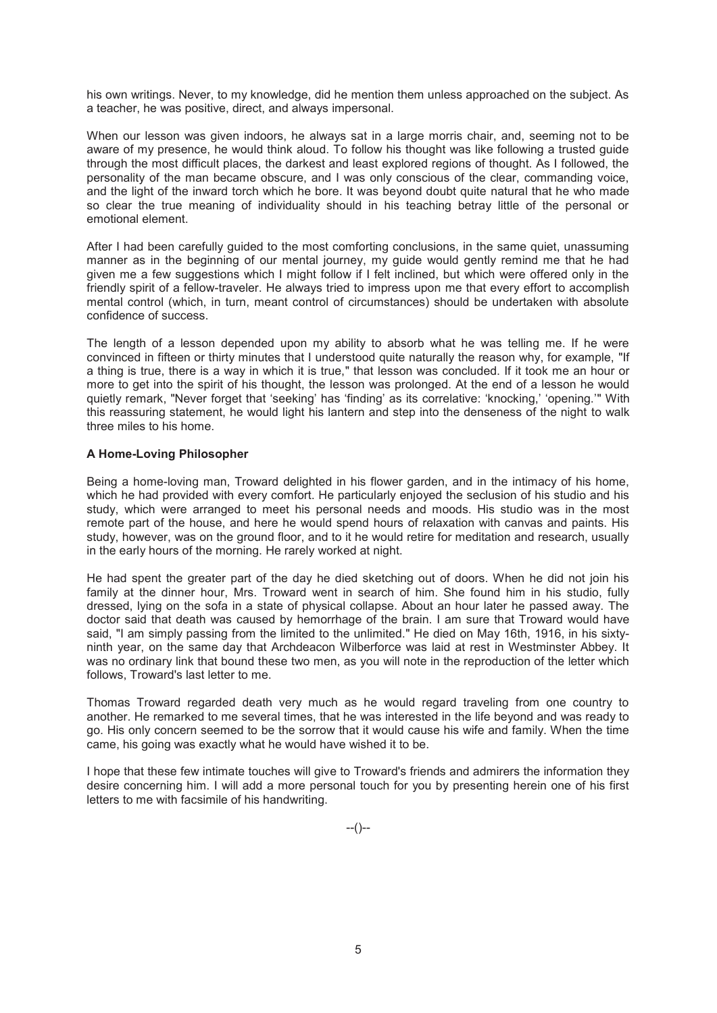his own writings. Never, to my knowledge, did he mention them unless approached on the subject. As a teacher, he was positive, direct, and always impersonal.

When our lesson was given indoors, he always sat in a large morris chair, and, seeming not to be aware of my presence, he would think aloud. To follow his thought was like following a trusted guide through the most difficult places, the darkest and least explored regions of thought. As I followed, the personality of the man became obscure, and I was only conscious of the clear, commanding voice, and the light of the inward torch which he bore. It was beyond doubt quite natural that he who made so clear the true meaning of individuality should in his teaching betray little of the personal or emotional element.

After I had been carefully guided to the most comforting conclusions, in the same quiet, unassuming manner as in the beginning of our mental journey, my guide would gently remind me that he had given me a few suggestions which I might follow if I felt inclined, but which were offered only in the friendly spirit of a fellow-traveler. He always tried to impress upon me that every effort to accomplish mental control (which, in turn, meant control of circumstances) should be undertaken with absolute confidence of success.

The length of a lesson depended upon my ability to absorb what he was telling me. If he were convinced in fifteen or thirty minutes that I understood quite naturally the reason why, for example, "If a thing is true, there is a way in which it is true," that lesson was concluded. If it took me an hour or more to get into the spirit of his thought, the lesson was prolonged. At the end of a lesson he would quietly remark, "Never forget that 'seeking' has 'finding' as its correlative: 'knocking,' 'opening.'" With this reassuring statement, he would light his lantern and step into the denseness of the night to walk three miles to his home.

# **A Home-Loving Philosopher**

Being a home-loving man, Troward delighted in his flower garden, and in the intimacy of his home, which he had provided with every comfort. He particularly enjoyed the seclusion of his studio and his study, which were arranged to meet his personal needs and moods. His studio was in the most remote part of the house, and here he would spend hours of relaxation with canvas and paints. His study, however, was on the ground floor, and to it he would retire for meditation and research, usually in the early hours of the morning. He rarely worked at night.

He had spent the greater part of the day he died sketching out of doors. When he did not join his family at the dinner hour, Mrs. Troward went in search of him. She found him in his studio, fully dressed, lying on the sofa in a state of physical collapse. About an hour later he passed away. The doctor said that death was caused by hemorrhage of the brain. I am sure that Troward would have said, "I am simply passing from the limited to the unlimited." He died on May 16th, 1916, in his sixtyninth year, on the same day that Archdeacon Wilberforce was laid at rest in Westminster Abbey. It was no ordinary link that bound these two men, as you will note in the reproduction of the letter which follows, Troward's last letter to me.

Thomas Troward regarded death very much as he would regard traveling from one country to another. He remarked to me several times, that he was interested in the life beyond and was ready to go. His only concern seemed to be the sorrow that it would cause his wife and family. When the time came, his going was exactly what he would have wished it to be.

I hope that these few intimate touches will give to Troward's friends and admirers the information they desire concerning him. I will add a more personal touch for you by presenting herein one of his first letters to me with facsimile of his handwriting.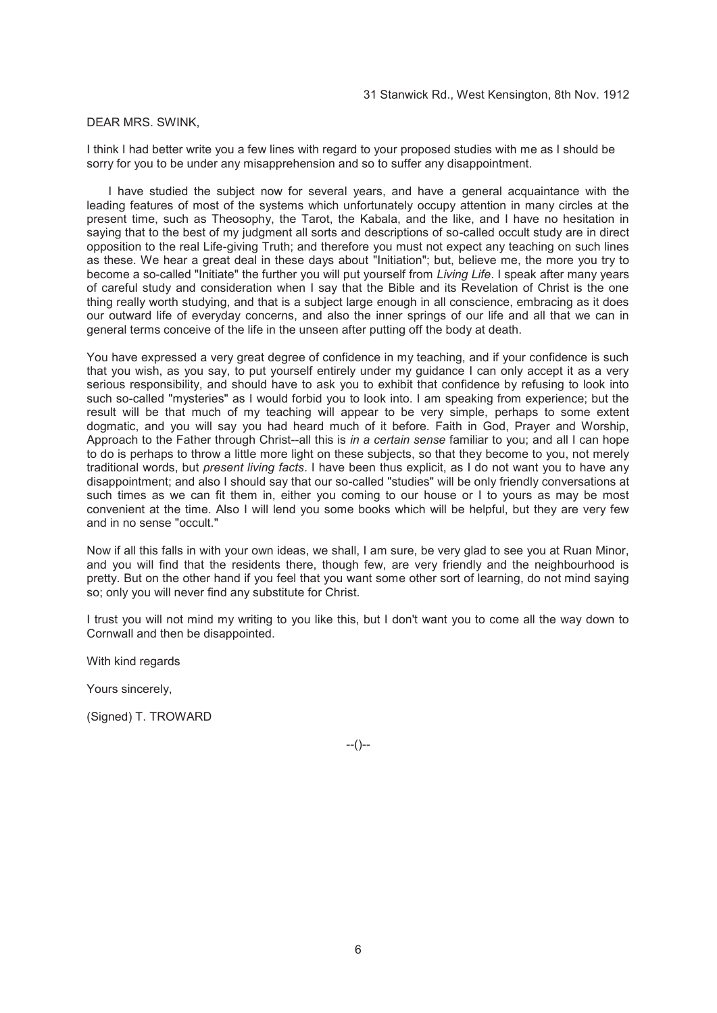DEAR MRS. SWINK,

I think I had better write you a few lines with regard to your proposed studies with me as I should be sorry for you to be under any misapprehension and so to suffer any disappointment.

I have studied the subject now for several years, and have a general acquaintance with the leading features of most of the systems which unfortunately occupy attention in many circles at the present time, such as Theosophy, the Tarot, the Kabala, and the like, and I have no hesitation in saying that to the best of my judgment all sorts and descriptions of so-called occult study are in direct opposition to the real Life-giving Truth; and therefore you must not expect any teaching on such lines as these. We hear a great deal in these days about "Initiation"; but, believe me, the more you try to become a so-called "Initiate" the further you will put yourself from *Living Life*. I speak after many years of careful study and consideration when I say that the Bible and its Revelation of Christ is the one thing really worth studying, and that is a subject large enough in all conscience, embracing as it does our outward life of everyday concerns, and also the inner springs of our life and all that we can in general terms conceive of the life in the unseen after putting off the body at death.

You have expressed a very great degree of confidence in my teaching, and if your confidence is such that you wish, as you say, to put yourself entirely under my guidance I can only accept it as a very serious responsibility, and should have to ask you to exhibit that confidence by refusing to look into such so-called "mysteries" as I would forbid you to look into. I am speaking from experience; but the result will be that much of my teaching will appear to be very simple, perhaps to some extent dogmatic, and you will say you had heard much of it before. Faith in God, Prayer and Worship, Approach to the Father through Christ--all this is *in a certain sense* familiar to you; and all I can hope to do is perhaps to throw a little more light on these subjects, so that they become to you, not merely traditional words, but *present living facts*. I have been thus explicit, as I do not want you to have any disappointment; and also I should say that our so-called "studies" will be only friendly conversations at such times as we can fit them in, either you coming to our house or I to yours as may be most convenient at the time. Also I will lend you some books which will be helpful, but they are very few and in no sense "occult."

Now if all this falls in with your own ideas, we shall, I am sure, be very glad to see you at Ruan Minor, and you will find that the residents there, though few, are very friendly and the neighbourhood is pretty. But on the other hand if you feel that you want some other sort of learning, do not mind saying so; only you will never find any substitute for Christ.

I trust you will not mind my writing to you like this, but I don't want you to come all the way down to Cornwall and then be disappointed.

With kind regards

Yours sincerely,

(Signed) T. TROWARD

 $-(-)$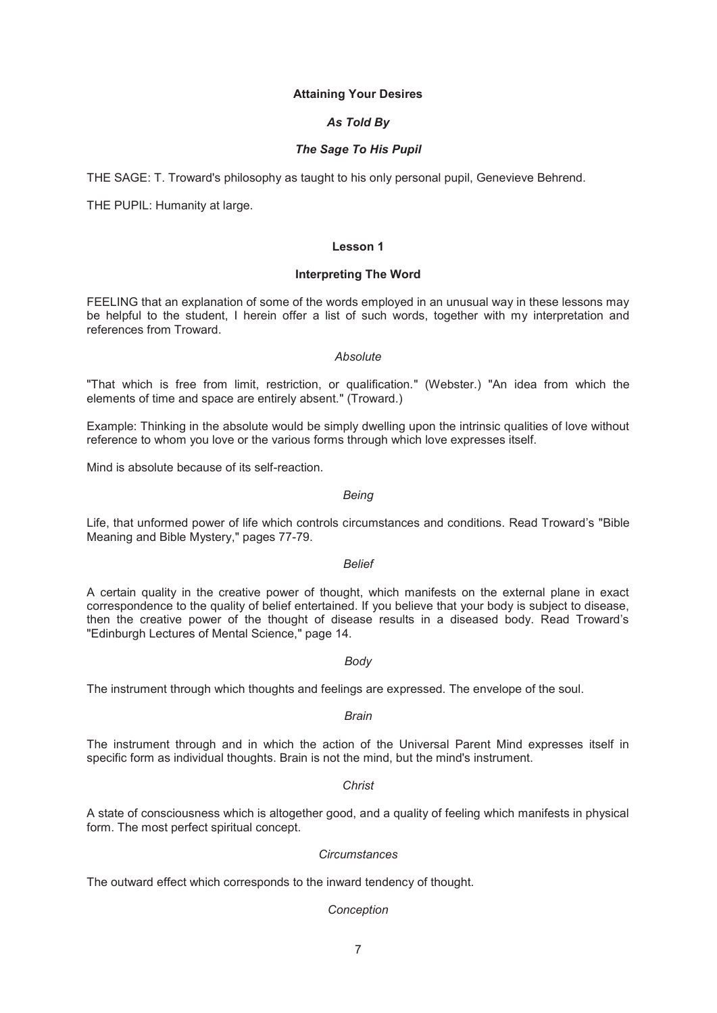## **Attaining Your Desires**

# *As Told By*

# *The Sage To His Pupil*

THE SAGE: T. Troward's philosophy as taught to his only personal pupil, Genevieve Behrend.

THE PUPIL: Humanity at large.

## **Lesson 1**

## **Interpreting The Word**

FEELING that an explanation of some of the words employed in an unusual way in these lessons may be helpful to the student, I herein offer a list of such words, together with my interpretation and references from Troward.

# *Absolute*

"That which is free from limit, restriction, or qualification." (Webster.) "An idea from which the elements of time and space are entirely absent." (Troward.)

Example: Thinking in the absolute would be simply dwelling upon the intrinsic qualities of love without reference to whom you love or the various forms through which love expresses itself.

Mind is absolute because of its self-reaction.

#### *Being*

Life, that unformed power of life which controls circumstances and conditions. Read Troward's "Bible Meaning and Bible Mystery," pages 77-79.

## *Belief*

A certain quality in the creative power of thought, which manifests on the external plane in exact correspondence to the quality of belief entertained. If you believe that your body is subject to disease, then the creative power of the thought of disease results in a diseased body. Read Troward's "Edinburgh Lectures of Mental Science," page 14.

#### *Body*

The instrument through which thoughts and feelings are expressed. The envelope of the soul.

#### *Brain*

The instrument through and in which the action of the Universal Parent Mind expresses itself in specific form as individual thoughts. Brain is not the mind, but the mind's instrument.

## *Christ*

A state of consciousness which is altogether good, and a quality of feeling which manifests in physical form. The most perfect spiritual concept.

#### *Circumstances*

The outward effect which corresponds to the inward tendency of thought.

# *Conception*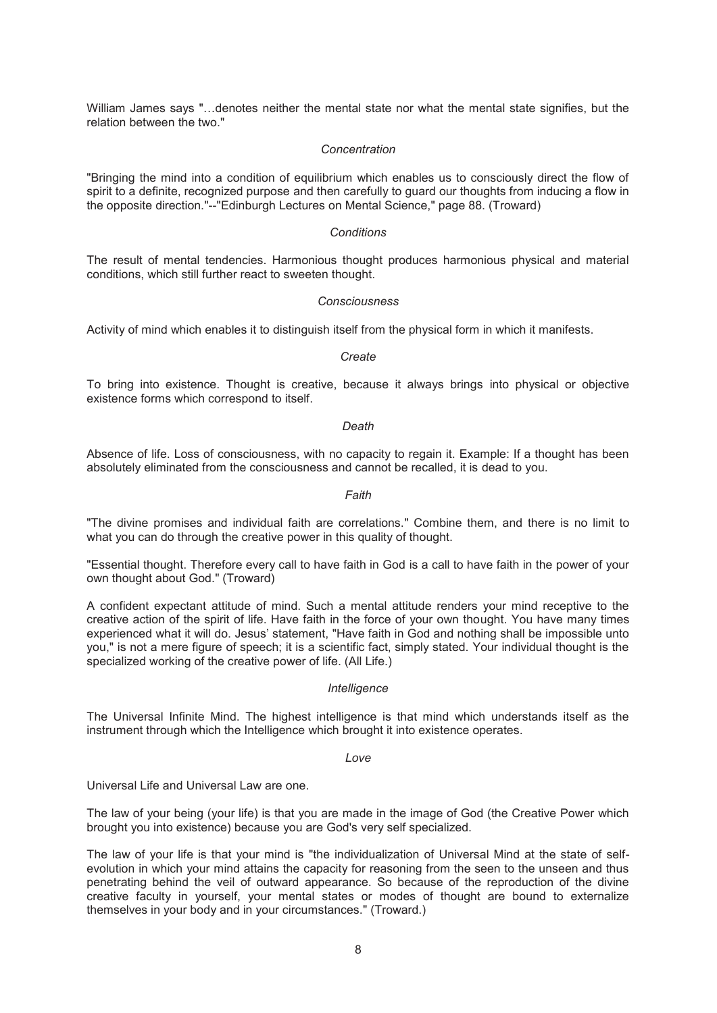William James says "…denotes neither the mental state nor what the mental state signifies, but the relation between the two."

## *Concentration*

"Bringing the mind into a condition of equilibrium which enables us to consciously direct the flow of spirit to a definite, recognized purpose and then carefully to guard our thoughts from inducing a flow in the opposite direction."--"Edinburgh Lectures on Mental Science," page 88. (Troward)

#### *Conditions*

The result of mental tendencies. Harmonious thought produces harmonious physical and material conditions, which still further react to sweeten thought.

#### *Consciousness*

Activity of mind which enables it to distinguish itself from the physical form in which it manifests.

#### *Create*

To bring into existence. Thought is creative, because it always brings into physical or objective existence forms which correspond to itself.

#### *Death*

Absence of life. Loss of consciousness, with no capacity to regain it. Example: If a thought has been absolutely eliminated from the consciousness and cannot be recalled, it is dead to you.

#### *Faith*

"The divine promises and individual faith are correlations." Combine them, and there is no limit to what you can do through the creative power in this quality of thought.

"Essential thought. Therefore every call to have faith in God is a call to have faith in the power of your own thought about God." (Troward)

A confident expectant attitude of mind. Such a mental attitude renders your mind receptive to the creative action of the spirit of life. Have faith in the force of your own thought. You have many times experienced what it will do. Jesus' statement, "Have faith in God and nothing shall be impossible unto you," is not a mere figure of speech; it is a scientific fact, simply stated. Your individual thought is the specialized working of the creative power of life. (All Life.)

#### *Intelligence*

The Universal Infinite Mind. The highest intelligence is that mind which understands itself as the instrument through which the Intelligence which brought it into existence operates.

#### *Love*

Universal Life and Universal Law are one.

The law of your being (your life) is that you are made in the image of God (the Creative Power which brought you into existence) because you are God's very self specialized.

The law of your life is that your mind is "the individualization of Universal Mind at the state of selfevolution in which your mind attains the capacity for reasoning from the seen to the unseen and thus penetrating behind the veil of outward appearance. So because of the reproduction of the divine creative faculty in yourself, your mental states or modes of thought are bound to externalize themselves in your body and in your circumstances." (Troward.)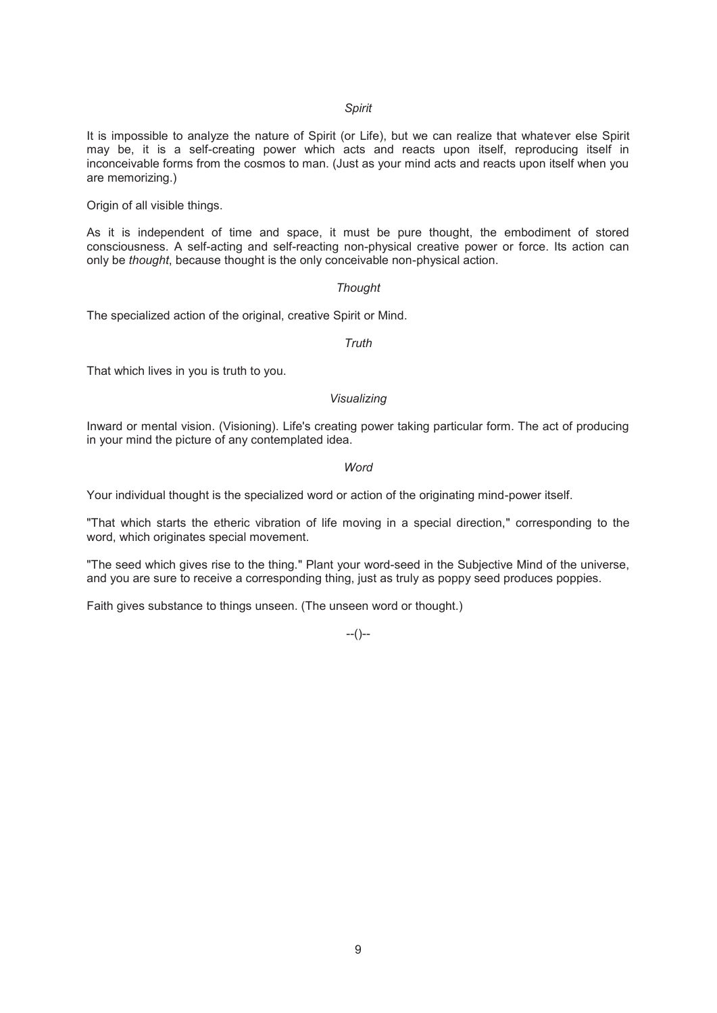*Spirit* 

It is impossible to analyze the nature of Spirit (or Life), but we can realize that whatever else Spirit may be, it is a self-creating power which acts and reacts upon itself, reproducing itself in inconceivable forms from the cosmos to man. (Just as your mind acts and reacts upon itself when you are memorizing.)

Origin of all visible things.

As it is independent of time and space, it must be pure thought, the embodiment of stored consciousness. A self-acting and self-reacting non-physical creative power or force. Its action can only be *thought*, because thought is the only conceivable non-physical action.

## *Thought*

The specialized action of the original, creative Spirit or Mind.

*Truth* 

That which lives in you is truth to you.

#### *Visualizing*

Inward or mental vision. (Visioning). Life's creating power taking particular form. The act of producing in your mind the picture of any contemplated idea.

*Word* 

Your individual thought is the specialized word or action of the originating mind-power itself.

"That which starts the etheric vibration of life moving in a special direction," corresponding to the word, which originates special movement.

"The seed which gives rise to the thing." Plant your word-seed in the Subjective Mind of the universe, and you are sure to receive a corresponding thing, just as truly as poppy seed produces poppies.

Faith gives substance to things unseen. (The unseen word or thought.)

 $-(-)$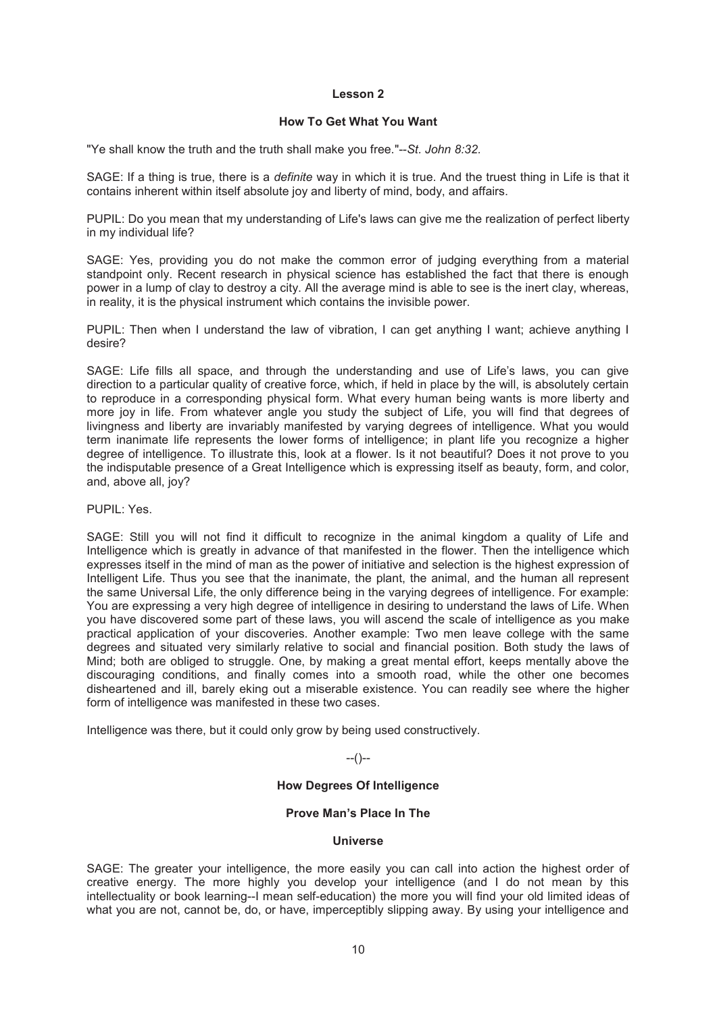## **Lesson 2**

## **How To Get What You Want**

"Ye shall know the truth and the truth shall make you free."--*St. John 8:32.* 

SAGE: If a thing is true, there is a *definite* way in which it is true. And the truest thing in Life is that it contains inherent within itself absolute joy and liberty of mind, body, and affairs.

PUPIL: Do you mean that my understanding of Life's laws can give me the realization of perfect liberty in my individual life?

SAGE: Yes, providing you do not make the common error of judging everything from a material standpoint only. Recent research in physical science has established the fact that there is enough power in a lump of clay to destroy a city. All the average mind is able to see is the inert clay, whereas, in reality, it is the physical instrument which contains the invisible power.

PUPIL: Then when I understand the law of vibration, I can get anything I want; achieve anything I desire?

SAGE: Life fills all space, and through the understanding and use of Life's laws, you can give direction to a particular quality of creative force, which, if held in place by the will, is absolutely certain to reproduce in a corresponding physical form. What every human being wants is more liberty and more joy in life. From whatever angle you study the subject of Life, you will find that degrees of livingness and liberty are invariably manifested by varying degrees of intelligence. What you would term inanimate life represents the lower forms of intelligence; in plant life you recognize a higher degree of intelligence. To illustrate this, look at a flower. Is it not beautiful? Does it not prove to you the indisputable presence of a Great Intelligence which is expressing itself as beauty, form, and color, and, above all, joy?

PUPIL: Yes.

SAGE: Still you will not find it difficult to recognize in the animal kingdom a quality of Life and Intelligence which is greatly in advance of that manifested in the flower. Then the intelligence which expresses itself in the mind of man as the power of initiative and selection is the highest expression of Intelligent Life. Thus you see that the inanimate, the plant, the animal, and the human all represent the same Universal Life, the only difference being in the varying degrees of intelligence. For example: You are expressing a very high degree of intelligence in desiring to understand the laws of Life. When you have discovered some part of these laws, you will ascend the scale of intelligence as you make practical application of your discoveries. Another example: Two men leave college with the same degrees and situated very similarly relative to social and financial position. Both study the laws of Mind; both are obliged to struggle. One, by making a great mental effort, keeps mentally above the discouraging conditions, and finally comes into a smooth road, while the other one becomes disheartened and ill, barely eking out a miserable existence. You can readily see where the higher form of intelligence was manifested in these two cases.

Intelligence was there, but it could only grow by being used constructively.

# $-(-)$

# **How Degrees Of Intelligence**

## **Prove Man's Place In The**

#### **Universe**

SAGE: The greater your intelligence, the more easily you can call into action the highest order of creative energy. The more highly you develop your intelligence (and I do not mean by this intellectuality or book learning--I mean self-education) the more you will find your old limited ideas of what you are not, cannot be, do, or have, imperceptibly slipping away. By using your intelligence and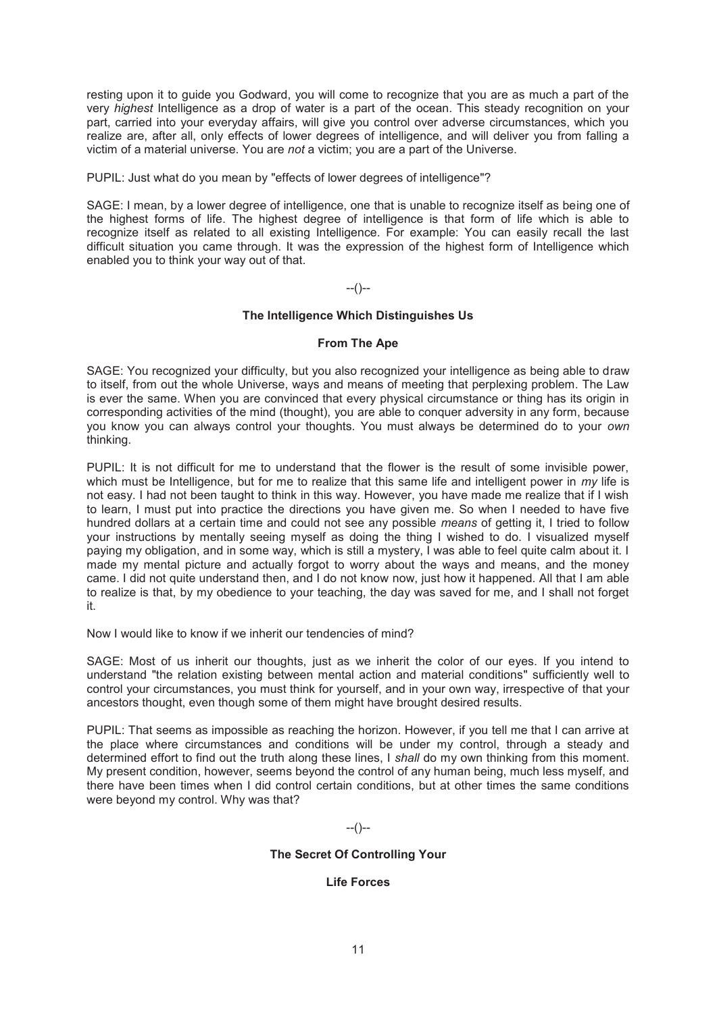resting upon it to guide you Godward, you will come to recognize that you are as much a part of the very *highest* Intelligence as a drop of water is a part of the ocean. This steady recognition on your part, carried into your everyday affairs, will give you control over adverse circumstances, which you realize are, after all, only effects of lower degrees of intelligence, and will deliver you from falling a victim of a material universe. You are *not* a victim; you are a part of the Universe.

PUPIL: Just what do you mean by "effects of lower degrees of intelligence"?

SAGE: I mean, by a lower degree of intelligence, one that is unable to recognize itself as being one of the highest forms of life. The highest degree of intelligence is that form of life which is able to recognize itself as related to all existing Intelligence. For example: You can easily recall the last difficult situation you came through. It was the expression of the highest form of Intelligence which enabled you to think your way out of that.

## $-(-)$

# **The Intelligence Which Distinguishes Us**

## **From The Ape**

SAGE: You recognized your difficulty, but you also recognized your intelligence as being able to draw to itself, from out the whole Universe, ways and means of meeting that perplexing problem. The Law is ever the same. When you are convinced that every physical circumstance or thing has its origin in corresponding activities of the mind (thought), you are able to conquer adversity in any form, because you know you can always control your thoughts. You must always be determined do to your *own*  thinking.

PUPIL: It is not difficult for me to understand that the flower is the result of some invisible power, which must be Intelligence, but for me to realize that this same life and intelligent power in *my* life is not easy. I had not been taught to think in this way. However, you have made me realize that if I wish to learn, I must put into practice the directions you have given me. So when I needed to have five hundred dollars at a certain time and could not see any possible *means* of getting it, I tried to follow your instructions by mentally seeing myself as doing the thing I wished to do. I visualized myself paying my obligation, and in some way, which is still a mystery, I was able to feel quite calm about it. I made my mental picture and actually forgot to worry about the ways and means, and the money came. I did not quite understand then, and I do not know now, just how it happened. All that I am able to realize is that, by my obedience to your teaching, the day was saved for me, and I shall not forget it.

Now I would like to know if we inherit our tendencies of mind?

SAGE: Most of us inherit our thoughts, just as we inherit the color of our eyes. If you intend to understand "the relation existing between mental action and material conditions" sufficiently well to control your circumstances, you must think for yourself, and in your own way, irrespective of that your ancestors thought, even though some of them might have brought desired results.

PUPIL: That seems as impossible as reaching the horizon. However, if you tell me that I can arrive at the place where circumstances and conditions will be under my control, through a steady and determined effort to find out the truth along these lines, I *shall* do my own thinking from this moment. My present condition, however, seems beyond the control of any human being, much less myself, and there have been times when I did control certain conditions, but at other times the same conditions were beyond my control. Why was that?

# --()--

#### **The Secret Of Controlling Your**

### **Life Forces**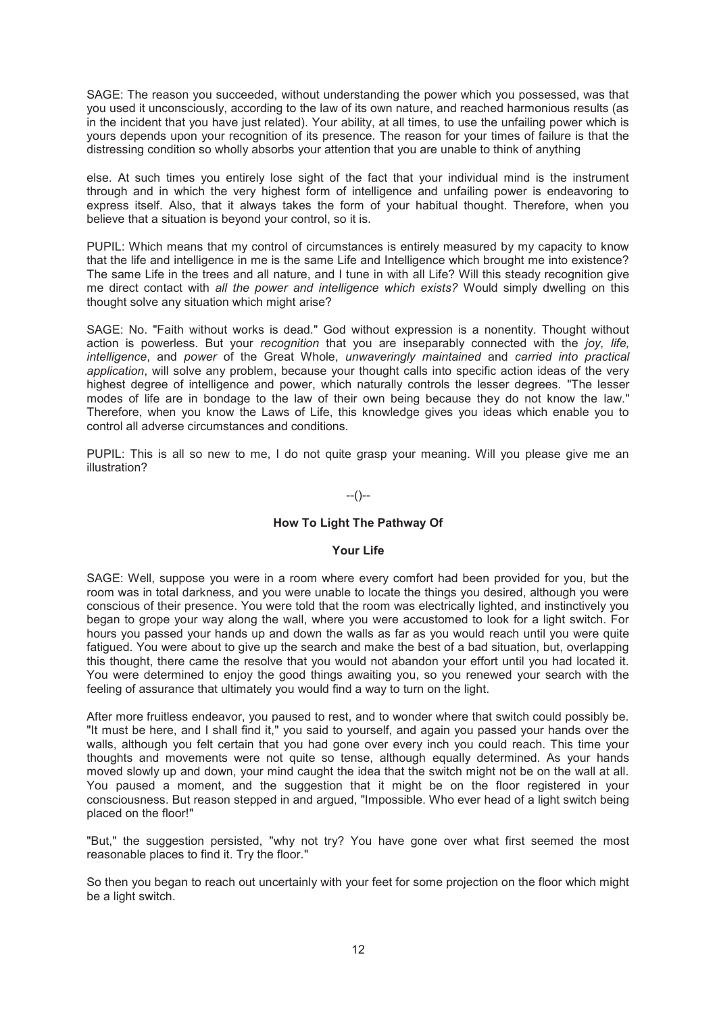SAGE: The reason you succeeded, without understanding the power which you possessed, was that you used it unconsciously, according to the law of its own nature, and reached harmonious results (as in the incident that you have just related). Your ability, at all times, to use the unfailing power which is yours depends upon your recognition of its presence. The reason for your times of failure is that the distressing condition so wholly absorbs your attention that you are unable to think of anything

else. At such times you entirely lose sight of the fact that your individual mind is the instrument through and in which the very highest form of intelligence and unfailing power is endeavoring to express itself. Also, that it always takes the form of your habitual thought. Therefore, when you believe that a situation is beyond your control, so it is.

PUPIL: Which means that my control of circumstances is entirely measured by my capacity to know that the life and intelligence in me is the same Life and Intelligence which brought me into existence? The same Life in the trees and all nature, and I tune in with all Life? Will this steady recognition give me direct contact with *all the power and intelligence which exists?* Would simply dwelling on this thought solve any situation which might arise?

SAGE: No. "Faith without works is dead." God without expression is a nonentity. Thought without action is powerless. But your *recognition* that you are inseparably connected with the *joy, life, intelligence*, and *power* of the Great Whole, *unwaveringly maintained* and *carried into practical application*, will solve any problem, because your thought calls into specific action ideas of the very highest degree of intelligence and power, which naturally controls the lesser degrees. "The lesser modes of life are in bondage to the law of their own being because they do not know the law." Therefore, when you know the Laws of Life, this knowledge gives you ideas which enable you to control all adverse circumstances and conditions.

PUPIL: This is all so new to me, I do not quite grasp your meaning. Will you please give me an illustration?

## $-(-)$

# **How To Light The Pathway Of**

#### **Your Life**

SAGE: Well, suppose you were in a room where every comfort had been provided for you, but the room was in total darkness, and you were unable to locate the things you desired, although you were conscious of their presence. You were told that the room was electrically lighted, and instinctively you began to grope your way along the wall, where you were accustomed to look for a light switch. For hours you passed your hands up and down the walls as far as you would reach until you were quite fatigued. You were about to give up the search and make the best of a bad situation, but, overlapping this thought, there came the resolve that you would not abandon your effort until you had located it. You were determined to enjoy the good things awaiting you, so you renewed your search with the feeling of assurance that ultimately you would find a way to turn on the light.

After more fruitless endeavor, you paused to rest, and to wonder where that switch could possibly be. "It must be here, and I shall find it," you said to yourself, and again you passed your hands over the walls, although you felt certain that you had gone over every inch you could reach. This time your thoughts and movements were not quite so tense, although equally determined. As your hands moved slowly up and down, your mind caught the idea that the switch might not be on the wall at all. You paused a moment, and the suggestion that it might be on the floor registered in your consciousness. But reason stepped in and argued, "Impossible. Who ever head of a light switch being placed on the floor!"

"But," the suggestion persisted, "why not try? You have gone over what first seemed the most reasonable places to find it. Try the floor."

So then you began to reach out uncertainly with your feet for some projection on the floor which might be a light switch.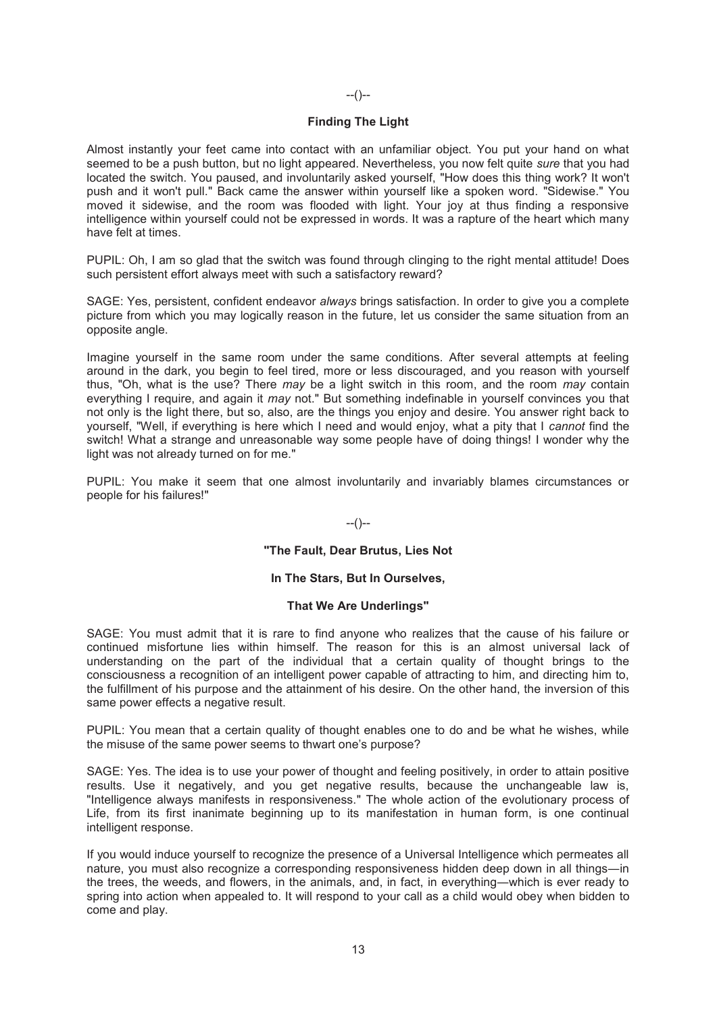## --()--

# **Finding The Light**

Almost instantly your feet came into contact with an unfamiliar object. You put your hand on what seemed to be a push button, but no light appeared. Nevertheless, you now felt quite *sure* that you had located the switch. You paused, and involuntarily asked yourself, "How does this thing work? It won't push and it won't pull." Back came the answer within yourself like a spoken word. "Sidewise." You moved it sidewise, and the room was flooded with light. Your joy at thus finding a responsive intelligence within yourself could not be expressed in words. It was a rapture of the heart which many have felt at times.

PUPIL: Oh, I am so glad that the switch was found through clinging to the right mental attitude! Does such persistent effort always meet with such a satisfactory reward?

SAGE: Yes, persistent, confident endeavor *always* brings satisfaction. In order to give you a complete picture from which you may logically reason in the future, let us consider the same situation from an opposite angle.

Imagine yourself in the same room under the same conditions. After several attempts at feeling around in the dark, you begin to feel tired, more or less discouraged, and you reason with yourself thus, "Oh, what is the use? There *may* be a light switch in this room, and the room *may* contain everything I require, and again it *may* not." But something indefinable in yourself convinces you that not only is the light there, but so, also, are the things you enjoy and desire. You answer right back to yourself, "Well, if everything is here which I need and would enjoy, what a pity that I *cannot* find the switch! What a strange and unreasonable way some people have of doing things! I wonder why the light was not already turned on for me."

PUPIL: You make it seem that one almost involuntarily and invariably blames circumstances or people for his failures!"

#### --()--

#### **"The Fault, Dear Brutus, Lies Not**

## **In The Stars, But In Ourselves,**

#### **That We Are Underlings"**

SAGE: You must admit that it is rare to find anyone who realizes that the cause of his failure or continued misfortune lies within himself. The reason for this is an almost universal lack of understanding on the part of the individual that a certain quality of thought brings to the consciousness a recognition of an intelligent power capable of attracting to him, and directing him to, the fulfillment of his purpose and the attainment of his desire. On the other hand, the inversion of this same power effects a negative result.

PUPIL: You mean that a certain quality of thought enables one to do and be what he wishes, while the misuse of the same power seems to thwart one's purpose?

SAGE: Yes. The idea is to use your power of thought and feeling positively, in order to attain positive results. Use it negatively, and you get negative results, because the unchangeable law is, "Intelligence always manifests in responsiveness." The whole action of the evolutionary process of Life, from its first inanimate beginning up to its manifestation in human form, is one continual intelligent response.

If you would induce yourself to recognize the presence of a Universal Intelligence which permeates all nature, you must also recognize a corresponding responsiveness hidden deep down in all things―in the trees, the weeds, and flowers, in the animals, and, in fact, in everything―which is ever ready to spring into action when appealed to. It will respond to your call as a child would obey when bidden to come and play.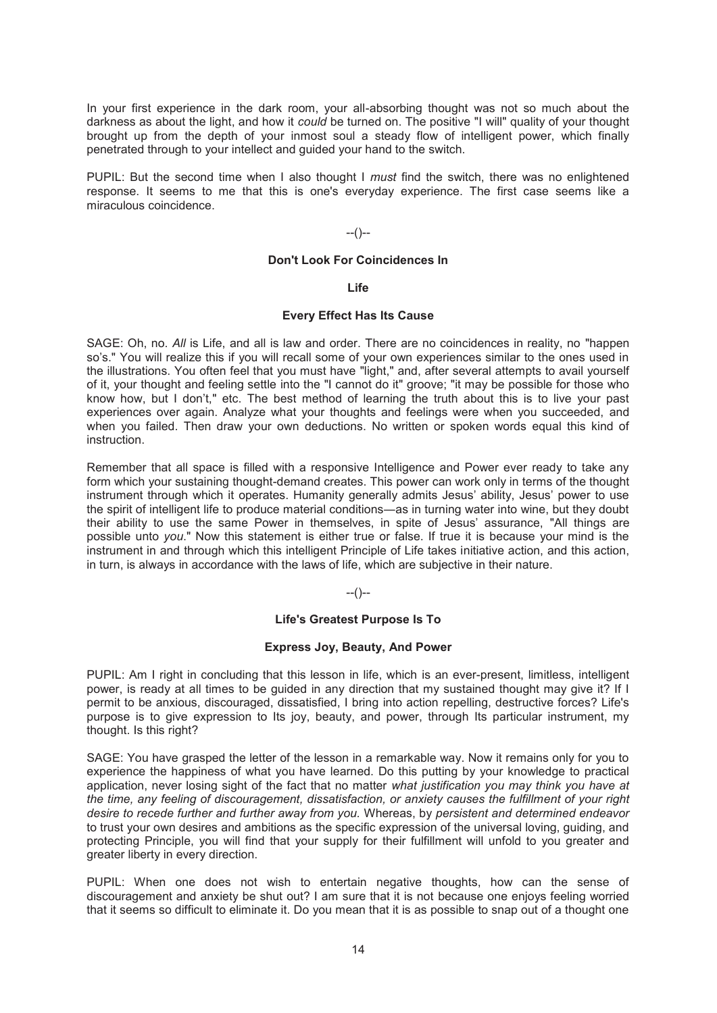In your first experience in the dark room, your all-absorbing thought was not so much about the darkness as about the light, and how it *could* be turned on. The positive "I will" quality of your thought brought up from the depth of your inmost soul a steady flow of intelligent power, which finally penetrated through to your intellect and guided your hand to the switch.

PUPIL: But the second time when I also thought I *must* find the switch, there was no enlightened response. It seems to me that this is one's everyday experience. The first case seems like a miraculous coincidence.

## --()--

## **Don't Look For Coincidences In**

#### **Life**

## **Every Effect Has Its Cause**

SAGE: Oh, no. *All* is Life, and all is law and order. There are no coincidences in reality, no "happen so's." You will realize this if you will recall some of your own experiences similar to the ones used in the illustrations. You often feel that you must have "light," and, after several attempts to avail yourself of it, your thought and feeling settle into the "I cannot do it" groove; "it may be possible for those who know how, but I don't," etc. The best method of learning the truth about this is to live your past experiences over again. Analyze what your thoughts and feelings were when you succeeded, and when you failed. Then draw your own deductions. No written or spoken words equal this kind of instruction.

Remember that all space is filled with a responsive Intelligence and Power ever ready to take any form which your sustaining thought-demand creates. This power can work only in terms of the thought instrument through which it operates. Humanity generally admits Jesus' ability, Jesus' power to use the spirit of intelligent life to produce material conditions―as in turning water into wine, but they doubt their ability to use the same Power in themselves, in spite of Jesus' assurance, "All things are possible unto *you*." Now this statement is either true or false. If true it is because your mind is the instrument in and through which this intelligent Principle of Life takes initiative action, and this action, in turn, is always in accordance with the laws of life, which are subjective in their nature.

#### --()--

#### **Life's Greatest Purpose Is To**

#### **Express Joy, Beauty, And Power**

PUPIL: Am I right in concluding that this lesson in life, which is an ever-present, limitless, intelligent power, is ready at all times to be guided in any direction that my sustained thought may give it? If I permit to be anxious, discouraged, dissatisfied, I bring into action repelling, destructive forces? Life's purpose is to give expression to Its joy, beauty, and power, through Its particular instrument, my thought. Is this right?

SAGE: You have grasped the letter of the lesson in a remarkable way. Now it remains only for you to experience the happiness of what you have learned. Do this putting by your knowledge to practical application, never losing sight of the fact that no matter *what justification you may think you have at the time, any feeling of discouragement, dissatisfaction, or anxiety causes the fulfillment of your right desire to recede further and further away from you.* Whereas, by *persistent and determined endeavor*  to trust your own desires and ambitions as the specific expression of the universal loving, guiding, and protecting Principle, you will find that your supply for their fulfillment will unfold to you greater and greater liberty in every direction.

PUPIL: When one does not wish to entertain negative thoughts, how can the sense of discouragement and anxiety be shut out? I am sure that it is not because one enjoys feeling worried that it seems so difficult to eliminate it. Do you mean that it is as possible to snap out of a thought one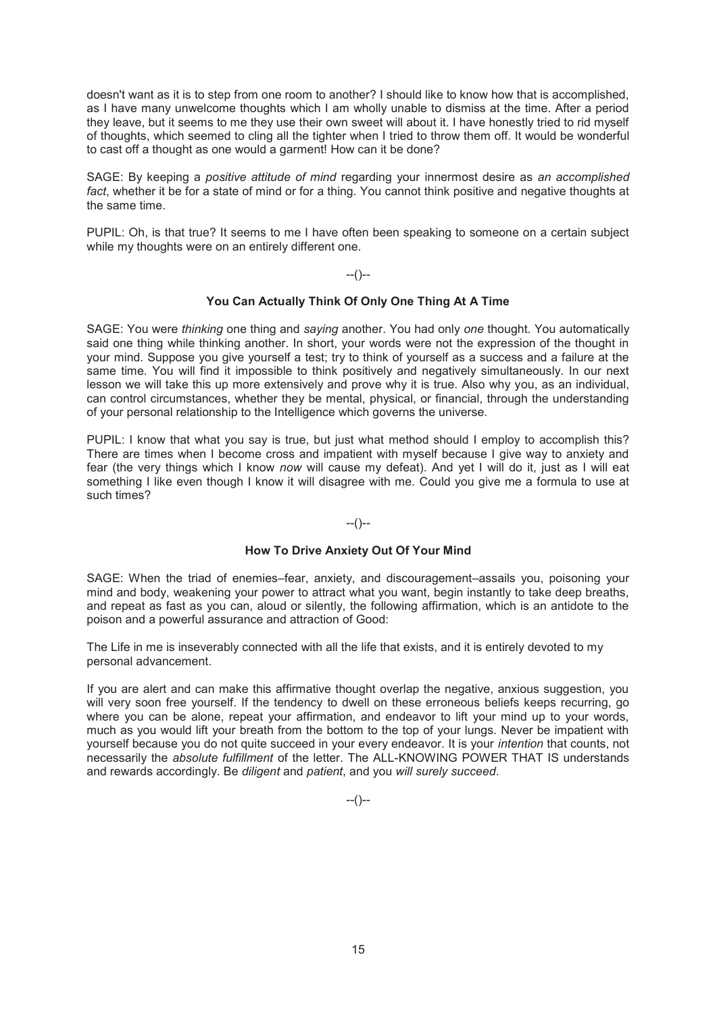doesn't want as it is to step from one room to another? I should like to know how that is accomplished, as I have many unwelcome thoughts which I am wholly unable to dismiss at the time. After a period they leave, but it seems to me they use their own sweet will about it. I have honestly tried to rid myself of thoughts, which seemed to cling all the tighter when I tried to throw them off. It would be wonderful to cast off a thought as one would a garment! How can it be done?

SAGE: By keeping a *positive attitude of mind* regarding your innermost desire as *an accomplished fact*, whether it be for a state of mind or for a thing. You cannot think positive and negative thoughts at the same time.

PUPIL: Oh, is that true? It seems to me I have often been speaking to someone on a certain subject while my thoughts were on an entirely different one.

#### $-(-)$

## **You Can Actually Think Of Only One Thing At A Time**

SAGE: You were *thinking* one thing and *saying* another. You had only *one* thought. You automatically said one thing while thinking another. In short, your words were not the expression of the thought in your mind. Suppose you give yourself a test; try to think of yourself as a success and a failure at the same time. You will find it impossible to think positively and negatively simultaneously. In our next lesson we will take this up more extensively and prove why it is true. Also why you, as an individual, can control circumstances, whether they be mental, physical, or financial, through the understanding of your personal relationship to the Intelligence which governs the universe.

PUPIL: I know that what you say is true, but just what method should I employ to accomplish this? There are times when I become cross and impatient with myself because I give way to anxiety and fear (the very things which I know *now* will cause my defeat). And yet I will do it, just as I will eat something I like even though I know it will disagree with me. Could you give me a formula to use at such times?

#### --()--

## **How To Drive Anxiety Out Of Your Mind**

SAGE: When the triad of enemies–fear, anxiety, and discouragement–assails you, poisoning your mind and body, weakening your power to attract what you want, begin instantly to take deep breaths, and repeat as fast as you can, aloud or silently, the following affirmation, which is an antidote to the poison and a powerful assurance and attraction of Good:

The Life in me is inseverably connected with all the life that exists, and it is entirely devoted to my personal advancement.

If you are alert and can make this affirmative thought overlap the negative, anxious suggestion, you will very soon free yourself. If the tendency to dwell on these erroneous beliefs keeps recurring, go where you can be alone, repeat your affirmation, and endeavor to lift your mind up to your words, much as you would lift your breath from the bottom to the top of your lungs. Never be impatient with yourself because you do not quite succeed in your every endeavor. It is your *intention* that counts, not necessarily the *absolute fulfillment* of the letter. The ALL-KNOWING POWER THAT IS understands and rewards accordingly. Be *diligent* and *patient*, and you *will surely succeed*.

--()--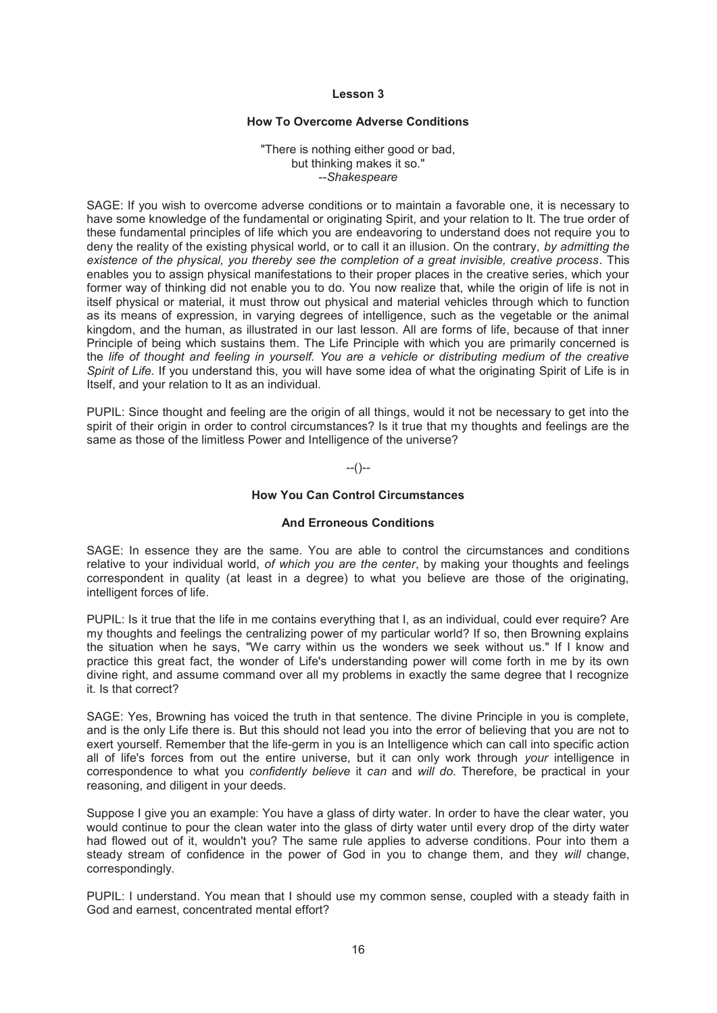#### **Lesson 3**

#### **How To Overcome Adverse Conditions**

#### "There is nothing either good or bad, but thinking makes it so." --*Shakespeare*

SAGE: If you wish to overcome adverse conditions or to maintain a favorable one, it is necessary to have some knowledge of the fundamental or originating Spirit, and your relation to It. The true order of these fundamental principles of life which you are endeavoring to understand does not require you to deny the reality of the existing physical world, or to call it an illusion. On the contrary, *by admitting the existence of the physical, you thereby see the completion of a great invisible, creative process*. This enables you to assign physical manifestations to their proper places in the creative series, which your former way of thinking did not enable you to do. You now realize that, while the origin of life is not in itself physical or material, it must throw out physical and material vehicles through which to function as its means of expression, in varying degrees of intelligence, such as the vegetable or the animal kingdom, and the human, as illustrated in our last lesson. All are forms of life, because of that inner Principle of being which sustains them. The Life Principle with which you are primarily concerned is the *life of thought and feeling in yourself. You are a vehicle or distributing medium of the creative Spirit of Life.* If you understand this, you will have some idea of what the originating Spirit of Life is in Itself, and your relation to It as an individual.

PUPIL: Since thought and feeling are the origin of all things, would it not be necessary to get into the spirit of their origin in order to control circumstances? Is it true that my thoughts and feelings are the same as those of the limitless Power and Intelligence of the universe?

--()--

# **How You Can Control Circumstances**

#### **And Erroneous Conditions**

SAGE: In essence they are the same. You are able to control the circumstances and conditions relative to your individual world, *of which you are the center*, by making your thoughts and feelings correspondent in quality (at least in a degree) to what you believe are those of the originating, intelligent forces of life.

PUPIL: Is it true that the life in me contains everything that I, as an individual, could ever require? Are my thoughts and feelings the centralizing power of my particular world? If so, then Browning explains the situation when he says, "We carry within us the wonders we seek without us." If I know and practice this great fact, the wonder of Life's understanding power will come forth in me by its own divine right, and assume command over all my problems in exactly the same degree that I recognize it. Is that correct?

SAGE: Yes, Browning has voiced the truth in that sentence. The divine Principle in you is complete, and is the only Life there is. But this should not lead you into the error of believing that you are not to exert yourself. Remember that the life-germ in you is an Intelligence which can call into specific action all of life's forces from out the entire universe, but it can only work through *your* intelligence in correspondence to what you *confidently believe* it *can* and *will do*. Therefore, be practical in your reasoning, and diligent in your deeds.

Suppose I give you an example: You have a glass of dirty water. In order to have the clear water, you would continue to pour the clean water into the glass of dirty water until every drop of the dirty water had flowed out of it, wouldn't you? The same rule applies to adverse conditions. Pour into them a steady stream of confidence in the power of God in you to change them, and they *will* change, correspondingly.

PUPIL: I understand. You mean that I should use my common sense, coupled with a steady faith in God and earnest, concentrated mental effort?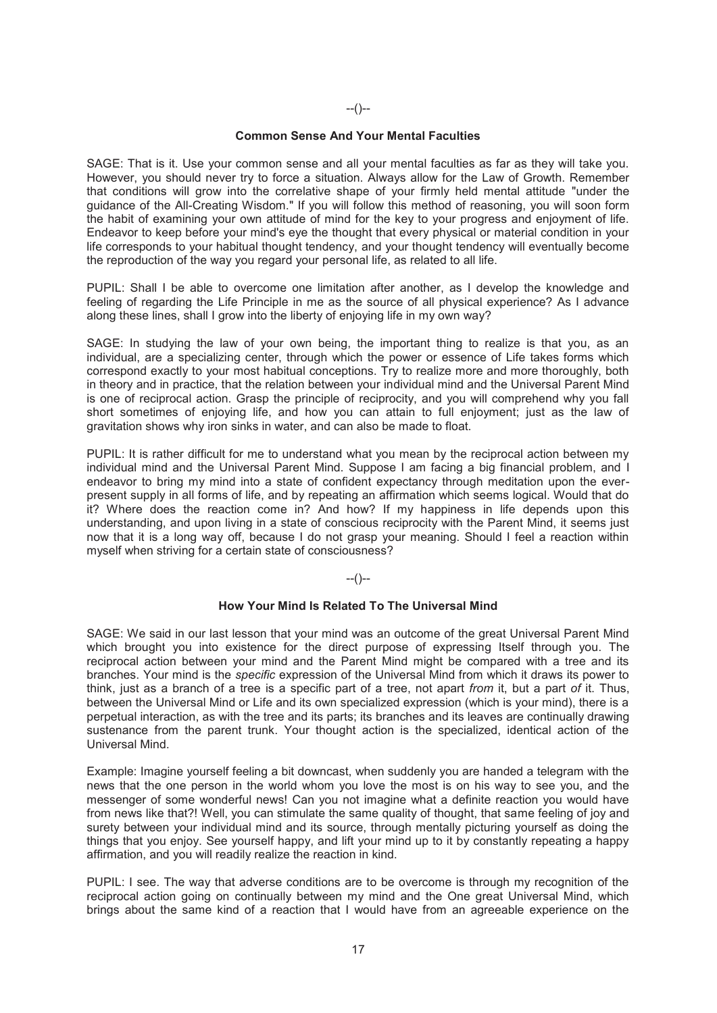## --()--

#### **Common Sense And Your Mental Faculties**

SAGE: That is it. Use your common sense and all your mental faculties as far as they will take you. However, you should never try to force a situation. Always allow for the Law of Growth. Remember that conditions will grow into the correlative shape of your firmly held mental attitude "under the guidance of the All-Creating Wisdom." If you will follow this method of reasoning, you will soon form the habit of examining your own attitude of mind for the key to your progress and enjoyment of life. Endeavor to keep before your mind's eye the thought that every physical or material condition in your life corresponds to your habitual thought tendency, and your thought tendency will eventually become the reproduction of the way you regard your personal life, as related to all life.

PUPIL: Shall I be able to overcome one limitation after another, as I develop the knowledge and feeling of regarding the Life Principle in me as the source of all physical experience? As I advance along these lines, shall I grow into the liberty of enjoying life in my own way?

SAGE: In studying the law of your own being, the important thing to realize is that you, as an individual, are a specializing center, through which the power or essence of Life takes forms which correspond exactly to your most habitual conceptions. Try to realize more and more thoroughly, both in theory and in practice, that the relation between your individual mind and the Universal Parent Mind is one of reciprocal action. Grasp the principle of reciprocity, and you will comprehend why you fall short sometimes of enjoying life, and how you can attain to full enjoyment; just as the law of gravitation shows why iron sinks in water, and can also be made to float.

PUPIL: It is rather difficult for me to understand what you mean by the reciprocal action between my individual mind and the Universal Parent Mind. Suppose I am facing a big financial problem, and I endeavor to bring my mind into a state of confident expectancy through meditation upon the everpresent supply in all forms of life, and by repeating an affirmation which seems logical. Would that do it? Where does the reaction come in? And how? If my happiness in life depends upon this understanding, and upon living in a state of conscious reciprocity with the Parent Mind, it seems just now that it is a long way off, because I do not grasp your meaning. Should I feel a reaction within myself when striving for a certain state of consciousness?

 $-(-)$ 

#### **How Your Mind Is Related To The Universal Mind**

SAGE: We said in our last lesson that your mind was an outcome of the great Universal Parent Mind which brought you into existence for the direct purpose of expressing Itself through you. The reciprocal action between your mind and the Parent Mind might be compared with a tree and its branches. Your mind is the *specific* expression of the Universal Mind from which it draws its power to think, just as a branch of a tree is a specific part of a tree, not apart *from* it, but a part *of* it. Thus, between the Universal Mind or Life and its own specialized expression (which is your mind), there is a perpetual interaction, as with the tree and its parts; its branches and its leaves are continually drawing sustenance from the parent trunk. Your thought action is the specialized, identical action of the Universal Mind.

Example: Imagine yourself feeling a bit downcast, when suddenly you are handed a telegram with the news that the one person in the world whom you love the most is on his way to see you, and the messenger of some wonderful news! Can you not imagine what a definite reaction you would have from news like that?! Well, you can stimulate the same quality of thought, that same feeling of joy and surety between your individual mind and its source, through mentally picturing yourself as doing the things that you enjoy. See yourself happy, and lift your mind up to it by constantly repeating a happy affirmation, and you will readily realize the reaction in kind.

PUPIL: I see. The way that adverse conditions are to be overcome is through my recognition of the reciprocal action going on continually between my mind and the One great Universal Mind, which brings about the same kind of a reaction that I would have from an agreeable experience on the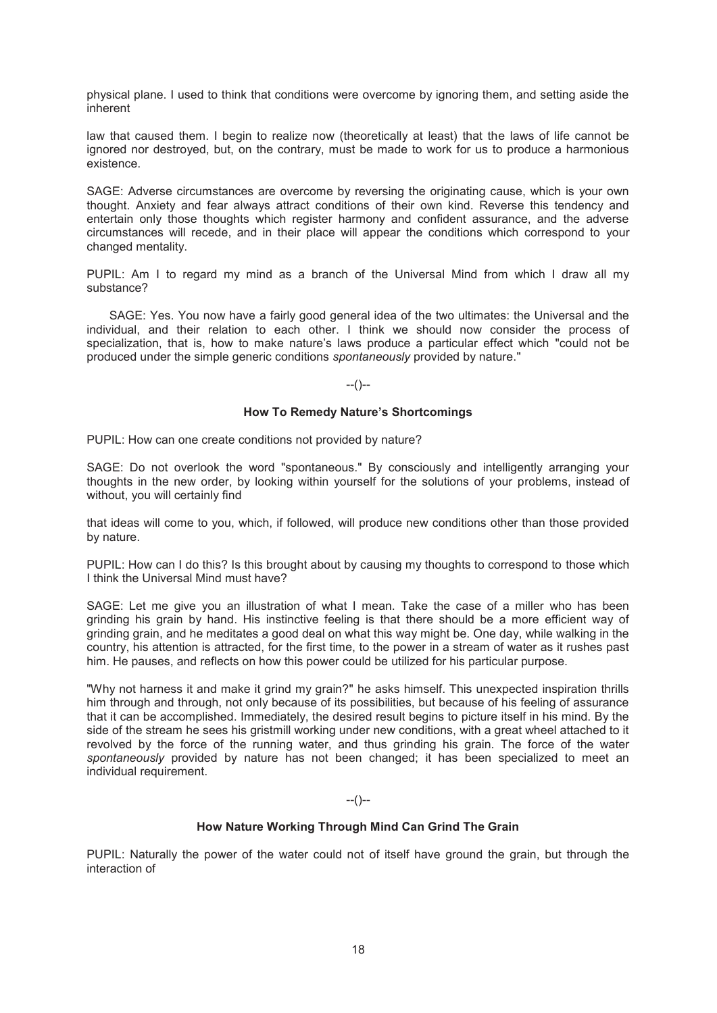physical plane. I used to think that conditions were overcome by ignoring them, and setting aside the inherent

law that caused them. I begin to realize now (theoretically at least) that the laws of life cannot be ignored nor destroyed, but, on the contrary, must be made to work for us to produce a harmonious existence.

SAGE: Adverse circumstances are overcome by reversing the originating cause, which is your own thought. Anxiety and fear always attract conditions of their own kind. Reverse this tendency and entertain only those thoughts which register harmony and confident assurance, and the adverse circumstances will recede, and in their place will appear the conditions which correspond to your changed mentality.

PUPIL: Am I to regard my mind as a branch of the Universal Mind from which I draw all my substance?

SAGE: Yes. You now have a fairly good general idea of the two ultimates: the Universal and the individual, and their relation to each other. I think we should now consider the process of specialization, that is, how to make nature's laws produce a particular effect which "could not be produced under the simple generic conditions *spontaneously* provided by nature."

## --()--

#### **How To Remedy Nature's Shortcomings**

PUPIL: How can one create conditions not provided by nature?

SAGE: Do not overlook the word "spontaneous." By consciously and intelligently arranging your thoughts in the new order, by looking within yourself for the solutions of your problems, instead of without, you will certainly find

that ideas will come to you, which, if followed, will produce new conditions other than those provided by nature.

PUPIL: How can I do this? Is this brought about by causing my thoughts to correspond to those which I think the Universal Mind must have?

SAGE: Let me give you an illustration of what I mean. Take the case of a miller who has been grinding his grain by hand. His instinctive feeling is that there should be a more efficient way of grinding grain, and he meditates a good deal on what this way might be. One day, while walking in the country, his attention is attracted, for the first time, to the power in a stream of water as it rushes past him. He pauses, and reflects on how this power could be utilized for his particular purpose.

"Why not harness it and make it grind my grain?" he asks himself. This unexpected inspiration thrills him through and through, not only because of its possibilities, but because of his feeling of assurance that it can be accomplished. Immediately, the desired result begins to picture itself in his mind. By the side of the stream he sees his gristmill working under new conditions, with a great wheel attached to it revolved by the force of the running water, and thus grinding his grain. The force of the water *spontaneously* provided by nature has not been changed; it has been specialized to meet an individual requirement.

### $-(-)$

## **How Nature Working Through Mind Can Grind The Grain**

PUPIL: Naturally the power of the water could not of itself have ground the grain, but through the interaction of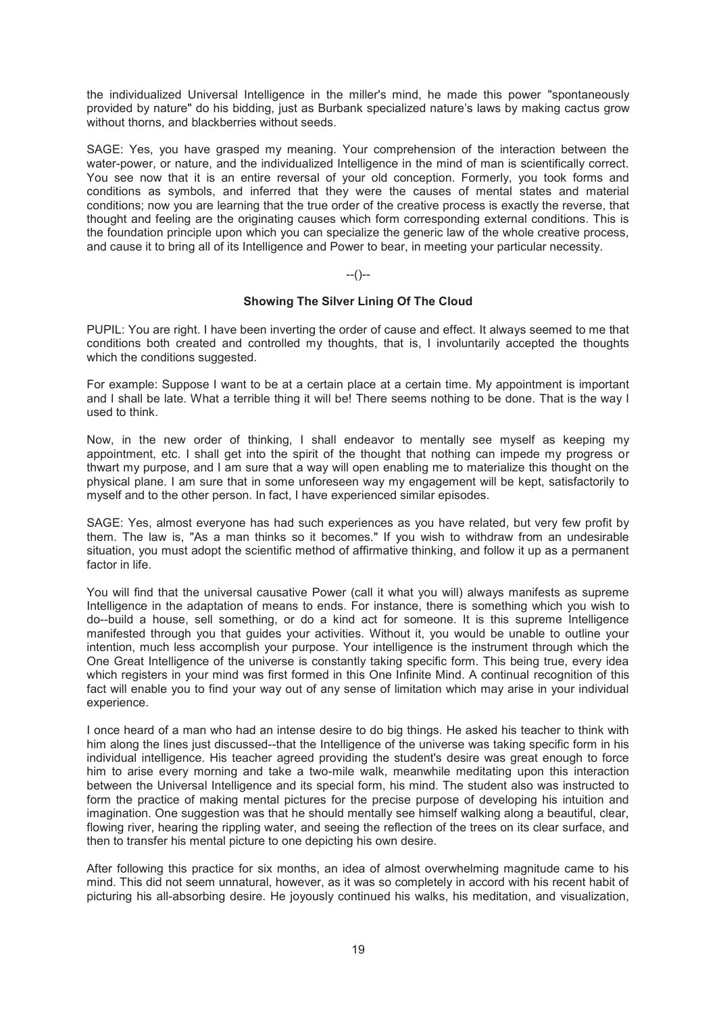the individualized Universal Intelligence in the miller's mind, he made this power "spontaneously provided by nature" do his bidding, just as Burbank specialized nature's laws by making cactus grow without thorns, and blackberries without seeds.

SAGE: Yes, you have grasped my meaning. Your comprehension of the interaction between the water-power, or nature, and the individualized Intelligence in the mind of man is scientifically correct. You see now that it is an entire reversal of your old conception. Formerly, you took forms and conditions as symbols, and inferred that they were the causes of mental states and material conditions; now you are learning that the true order of the creative process is exactly the reverse, that thought and feeling are the originating causes which form corresponding external conditions. This is the foundation principle upon which you can specialize the generic law of the whole creative process, and cause it to bring all of its Intelligence and Power to bear, in meeting your particular necessity.

#### --()--

## **Showing The Silver Lining Of The Cloud**

PUPIL: You are right. I have been inverting the order of cause and effect. It always seemed to me that conditions both created and controlled my thoughts, that is, I involuntarily accepted the thoughts which the conditions suggested.

For example: Suppose I want to be at a certain place at a certain time. My appointment is important and I shall be late. What a terrible thing it will be! There seems nothing to be done. That is the way I used to think.

Now, in the new order of thinking, I shall endeavor to mentally see myself as keeping my appointment, etc. I shall get into the spirit of the thought that nothing can impede my progress or thwart my purpose, and I am sure that a way will open enabling me to materialize this thought on the physical plane. I am sure that in some unforeseen way my engagement will be kept, satisfactorily to myself and to the other person. In fact, I have experienced similar episodes.

SAGE: Yes, almost everyone has had such experiences as you have related, but very few profit by them. The law is, "As a man thinks so it becomes." If you wish to withdraw from an undesirable situation, you must adopt the scientific method of affirmative thinking, and follow it up as a permanent factor in life.

You will find that the universal causative Power (call it what you will) always manifests as supreme Intelligence in the adaptation of means to ends. For instance, there is something which you wish to do--build a house, sell something, or do a kind act for someone. It is this supreme Intelligence manifested through you that guides your activities. Without it, you would be unable to outline your intention, much less accomplish your purpose. Your intelligence is the instrument through which the One Great Intelligence of the universe is constantly taking specific form. This being true, every idea which registers in your mind was first formed in this One Infinite Mind. A continual recognition of this fact will enable you to find your way out of any sense of limitation which may arise in your individual experience.

I once heard of a man who had an intense desire to do big things. He asked his teacher to think with him along the lines just discussed--that the Intelligence of the universe was taking specific form in his individual intelligence. His teacher agreed providing the student's desire was great enough to force him to arise every morning and take a two-mile walk, meanwhile meditating upon this interaction between the Universal Intelligence and its special form, his mind. The student also was instructed to form the practice of making mental pictures for the precise purpose of developing his intuition and imagination. One suggestion was that he should mentally see himself walking along a beautiful, clear, flowing river, hearing the rippling water, and seeing the reflection of the trees on its clear surface, and then to transfer his mental picture to one depicting his own desire.

After following this practice for six months, an idea of almost overwhelming magnitude came to his mind. This did not seem unnatural, however, as it was so completely in accord with his recent habit of picturing his all-absorbing desire. He joyously continued his walks, his meditation, and visualization,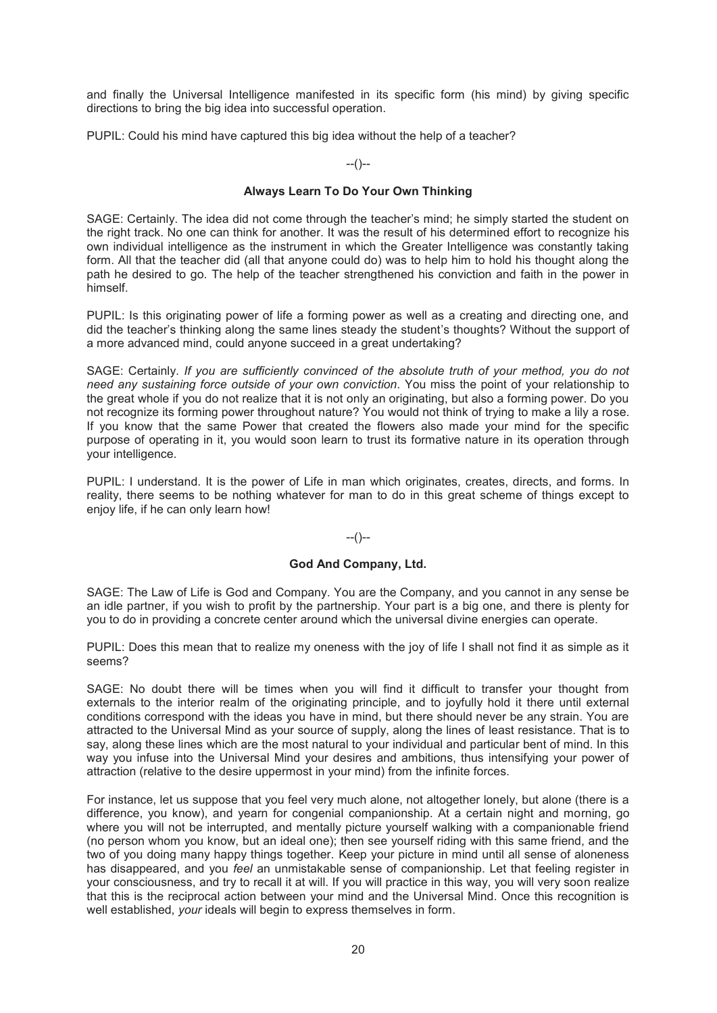and finally the Universal Intelligence manifested in its specific form (his mind) by giving specific directions to bring the big idea into successful operation.

PUPIL: Could his mind have captured this big idea without the help of a teacher?

--()--

## **Always Learn To Do Your Own Thinking**

SAGE: Certainly. The idea did not come through the teacher's mind; he simply started the student on the right track. No one can think for another. It was the result of his determined effort to recognize his own individual intelligence as the instrument in which the Greater Intelligence was constantly taking form. All that the teacher did (all that anyone could do) was to help him to hold his thought along the path he desired to go. The help of the teacher strengthened his conviction and faith in the power in himself.

PUPIL: Is this originating power of life a forming power as well as a creating and directing one, and did the teacher's thinking along the same lines steady the student's thoughts? Without the support of a more advanced mind, could anyone succeed in a great undertaking?

SAGE: Certainly. *If you are sufficiently convinced of the absolute truth of your method, you do not need any sustaining force outside of your own conviction*. You miss the point of your relationship to the great whole if you do not realize that it is not only an originating, but also a forming power. Do you not recognize its forming power throughout nature? You would not think of trying to make a lily a rose. If you know that the same Power that created the flowers also made your mind for the specific purpose of operating in it, you would soon learn to trust its formative nature in its operation through your intelligence.

PUPIL: I understand. It is the power of Life in man which originates, creates, directs, and forms. In reality, there seems to be nothing whatever for man to do in this great scheme of things except to enjoy life, if he can only learn how!

#### --()--

# **God And Company, Ltd.**

SAGE: The Law of Life is God and Company. You are the Company, and you cannot in any sense be an idle partner, if you wish to profit by the partnership. Your part is a big one, and there is plenty for you to do in providing a concrete center around which the universal divine energies can operate.

PUPIL: Does this mean that to realize my oneness with the joy of life I shall not find it as simple as it seems?

SAGE: No doubt there will be times when you will find it difficult to transfer your thought from externals to the interior realm of the originating principle, and to joyfully hold it there until external conditions correspond with the ideas you have in mind, but there should never be any strain. You are attracted to the Universal Mind as your source of supply, along the lines of least resistance. That is to say, along these lines which are the most natural to your individual and particular bent of mind. In this way you infuse into the Universal Mind your desires and ambitions, thus intensifying your power of attraction (relative to the desire uppermost in your mind) from the infinite forces.

For instance, let us suppose that you feel very much alone, not altogether lonely, but alone (there is a difference, you know), and yearn for congenial companionship. At a certain night and morning, go where you will not be interrupted, and mentally picture yourself walking with a companionable friend (no person whom you know, but an ideal one); then see yourself riding with this same friend, and the two of you doing many happy things together. Keep your picture in mind until all sense of aloneness has disappeared, and you *feel* an unmistakable sense of companionship. Let that feeling register in your consciousness, and try to recall it at will. If you will practice in this way, you will very soon realize that this is the reciprocal action between your mind and the Universal Mind. Once this recognition is well established, *your* ideals will begin to express themselves in form.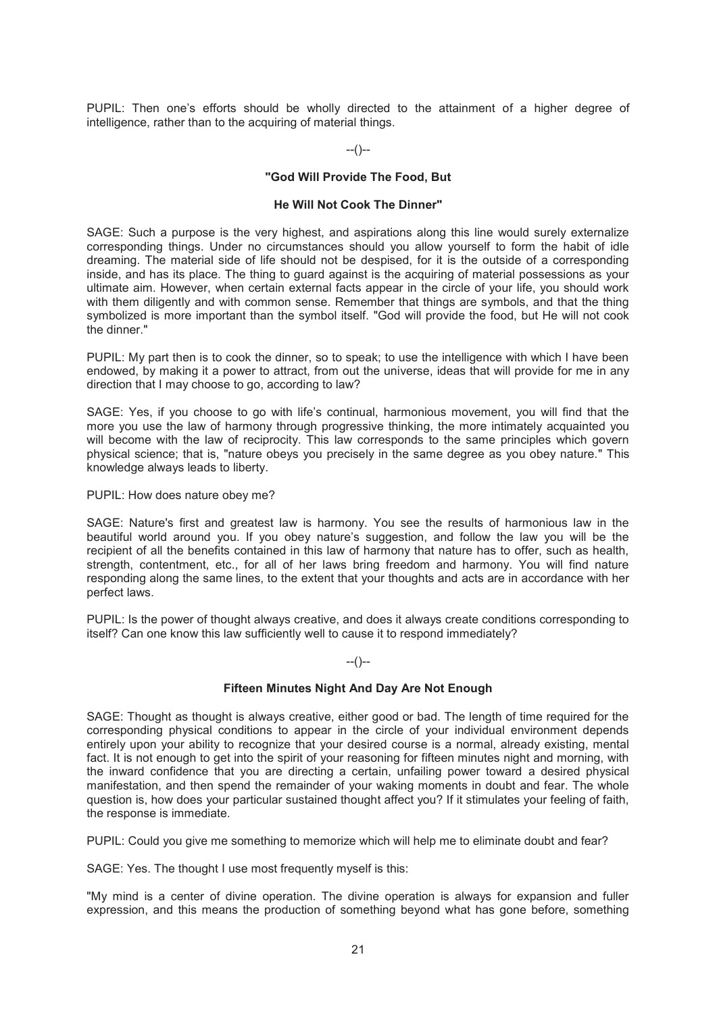PUPIL: Then one's efforts should be wholly directed to the attainment of a higher degree of intelligence, rather than to the acquiring of material things.

--()--

## **"God Will Provide The Food, But**

## **He Will Not Cook The Dinner"**

SAGE: Such a purpose is the very highest, and aspirations along this line would surely externalize corresponding things. Under no circumstances should you allow yourself to form the habit of idle dreaming. The material side of life should not be despised, for it is the outside of a corresponding inside, and has its place. The thing to guard against is the acquiring of material possessions as your ultimate aim. However, when certain external facts appear in the circle of your life, you should work with them diligently and with common sense. Remember that things are symbols, and that the thing symbolized is more important than the symbol itself. "God will provide the food, but He will not cook the dinner."

PUPIL: My part then is to cook the dinner, so to speak; to use the intelligence with which I have been endowed, by making it a power to attract, from out the universe, ideas that will provide for me in any direction that I may choose to go, according to law?

SAGE: Yes, if you choose to go with life's continual, harmonious movement, you will find that the more you use the law of harmony through progressive thinking, the more intimately acquainted you will become with the law of reciprocity. This law corresponds to the same principles which govern physical science; that is, "nature obeys you precisely in the same degree as you obey nature." This knowledge always leads to liberty.

PUPIL: How does nature obey me?

SAGE: Nature's first and greatest law is harmony. You see the results of harmonious law in the beautiful world around you. If you obey nature's suggestion, and follow the law you will be the recipient of all the benefits contained in this law of harmony that nature has to offer, such as health, strength, contentment, etc., for all of her laws bring freedom and harmony. You will find nature responding along the same lines, to the extent that your thoughts and acts are in accordance with her perfect laws.

PUPIL: Is the power of thought always creative, and does it always create conditions corresponding to itself? Can one know this law sufficiently well to cause it to respond immediately?

#### --()--

#### **Fifteen Minutes Night And Day Are Not Enough**

SAGE: Thought as thought is always creative, either good or bad. The length of time required for the corresponding physical conditions to appear in the circle of your individual environment depends entirely upon your ability to recognize that your desired course is a normal, already existing, mental fact. It is not enough to get into the spirit of your reasoning for fifteen minutes night and morning, with the inward confidence that you are directing a certain, unfailing power toward a desired physical manifestation, and then spend the remainder of your waking moments in doubt and fear. The whole question is, how does your particular sustained thought affect you? If it stimulates your feeling of faith, the response is immediate.

PUPIL: Could you give me something to memorize which will help me to eliminate doubt and fear?

SAGE: Yes. The thought I use most frequently myself is this:

"My mind is a center of divine operation. The divine operation is always for expansion and fuller expression, and this means the production of something beyond what has gone before, something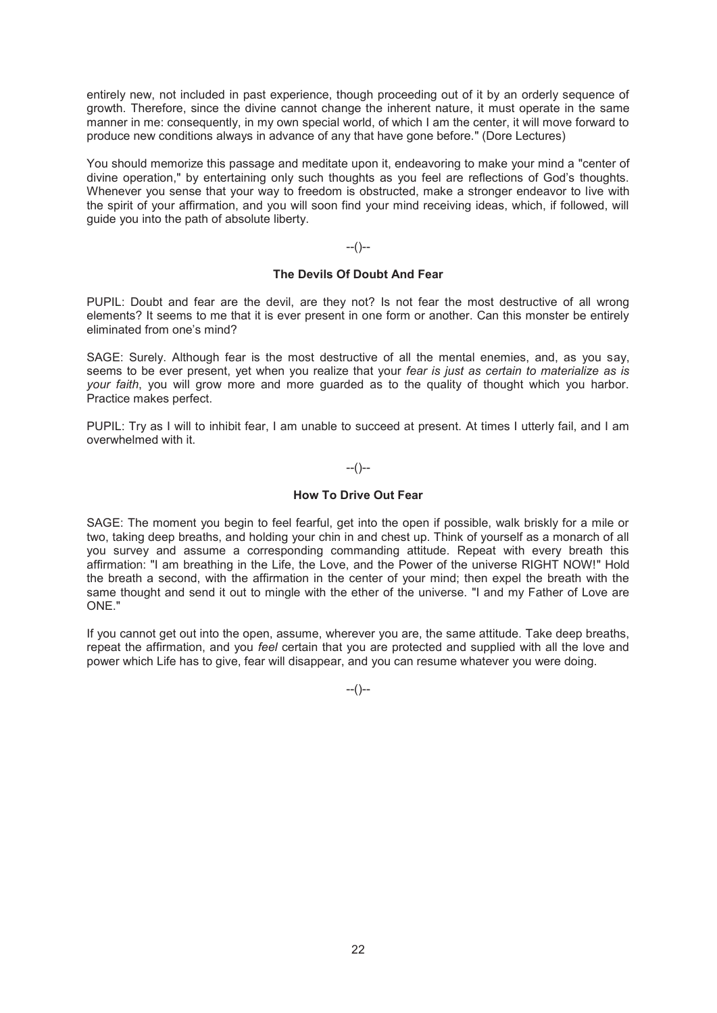entirely new, not included in past experience, though proceeding out of it by an orderly sequence of growth. Therefore, since the divine cannot change the inherent nature, it must operate in the same manner in me: consequently, in my own special world, of which I am the center, it will move forward to produce new conditions always in advance of any that have gone before." (Dore Lectures)

You should memorize this passage and meditate upon it, endeavoring to make your mind a "center of divine operation," by entertaining only such thoughts as you feel are reflections of God's thoughts. Whenever you sense that your way to freedom is obstructed, make a stronger endeavor to live with the spirit of your affirmation, and you will soon find your mind receiving ideas, which, if followed, will guide you into the path of absolute liberty.

## $-(-)$

### **The Devils Of Doubt And Fear**

PUPIL: Doubt and fear are the devil, are they not? Is not fear the most destructive of all wrong elements? It seems to me that it is ever present in one form or another. Can this monster be entirely eliminated from one's mind?

SAGE: Surely. Although fear is the most destructive of all the mental enemies, and, as you say, seems to be ever present, yet when you realize that your *fear is just as certain to materialize as is your faith*, you will grow more and more guarded as to the quality of thought which you harbor. Practice makes perfect.

PUPIL: Try as I will to inhibit fear, I am unable to succeed at present. At times I utterly fail, and I am overwhelmed with it.

# --()--

# **How To Drive Out Fear**

SAGE: The moment you begin to feel fearful, get into the open if possible, walk briskly for a mile or two, taking deep breaths, and holding your chin in and chest up. Think of yourself as a monarch of all you survey and assume a corresponding commanding attitude. Repeat with every breath this affirmation: "I am breathing in the Life, the Love, and the Power of the universe RIGHT NOW!" Hold the breath a second, with the affirmation in the center of your mind; then expel the breath with the same thought and send it out to mingle with the ether of the universe. "I and my Father of Love are ONE."

If you cannot get out into the open, assume, wherever you are, the same attitude. Take deep breaths, repeat the affirmation, and you *feel* certain that you are protected and supplied with all the love and power which Life has to give, fear will disappear, and you can resume whatever you were doing.

 $-(-)$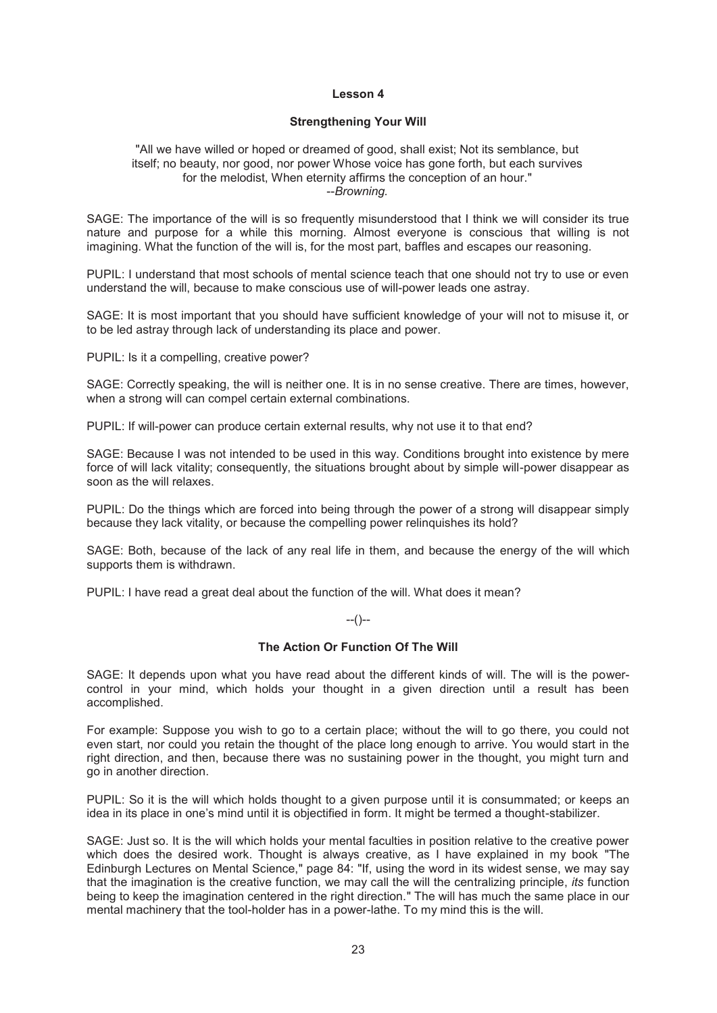## **Lesson 4**

## **Strengthening Your Will**

"All we have willed or hoped or dreamed of good, shall exist; Not its semblance, but itself; no beauty, nor good, nor power Whose voice has gone forth, but each survives for the melodist, When eternity affirms the conception of an hour." --*Browning.*

SAGE: The importance of the will is so frequently misunderstood that I think we will consider its true nature and purpose for a while this morning. Almost everyone is conscious that willing is not imagining. What the function of the will is, for the most part, baffles and escapes our reasoning.

PUPIL: I understand that most schools of mental science teach that one should not try to use or even understand the will, because to make conscious use of will-power leads one astray.

SAGE: It is most important that you should have sufficient knowledge of your will not to misuse it, or to be led astray through lack of understanding its place and power.

PUPIL: Is it a compelling, creative power?

SAGE: Correctly speaking, the will is neither one. It is in no sense creative. There are times, however, when a strong will can compel certain external combinations.

PUPIL: If will-power can produce certain external results, why not use it to that end?

SAGE: Because I was not intended to be used in this way. Conditions brought into existence by mere force of will lack vitality; consequently, the situations brought about by simple will-power disappear as soon as the will relaxes.

PUPIL: Do the things which are forced into being through the power of a strong will disappear simply because they lack vitality, or because the compelling power relinquishes its hold?

SAGE: Both, because of the lack of any real life in them, and because the energy of the will which supports them is withdrawn.

PUPIL: I have read a great deal about the function of the will. What does it mean?

--()--

# **The Action Or Function Of The Will**

SAGE: It depends upon what you have read about the different kinds of will. The will is the powercontrol in your mind, which holds your thought in a given direction until a result has been accomplished.

For example: Suppose you wish to go to a certain place; without the will to go there, you could not even start, nor could you retain the thought of the place long enough to arrive. You would start in the right direction, and then, because there was no sustaining power in the thought, you might turn and go in another direction.

PUPIL: So it is the will which holds thought to a given purpose until it is consummated; or keeps an idea in its place in one's mind until it is objectified in form. It might be termed a thought-stabilizer.

SAGE: Just so. It is the will which holds your mental faculties in position relative to the creative power which does the desired work. Thought is always creative, as I have explained in my book "The Edinburgh Lectures on Mental Science," page 84: "If, using the word in its widest sense, we may say that the imagination is the creative function, we may call the will the centralizing principle, *its* function being to keep the imagination centered in the right direction." The will has much the same place in our mental machinery that the tool-holder has in a power-lathe. To my mind this is the will.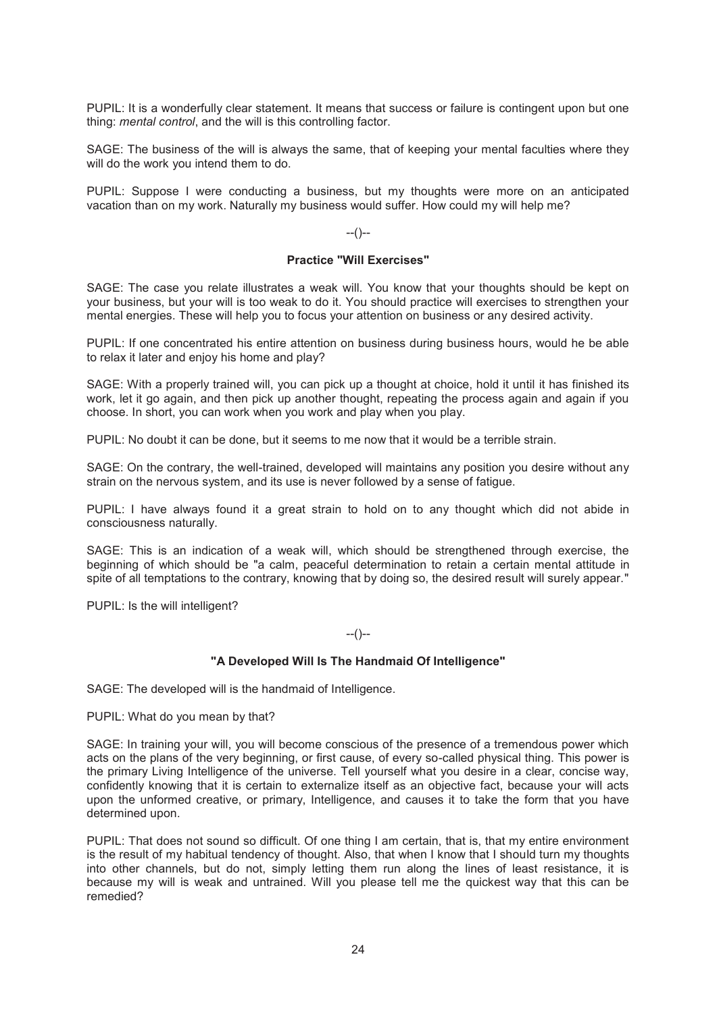PUPIL: It is a wonderfully clear statement. It means that success or failure is contingent upon but one thing: *mental control*, and the will is this controlling factor.

SAGE: The business of the will is always the same, that of keeping your mental faculties where they will do the work you intend them to do.

PUPIL: Suppose I were conducting a business, but my thoughts were more on an anticipated vacation than on my work. Naturally my business would suffer. How could my will help me?

#### --()--

## **Practice "Will Exercises"**

SAGE: The case you relate illustrates a weak will. You know that your thoughts should be kept on your business, but your will is too weak to do it. You should practice will exercises to strengthen your mental energies. These will help you to focus your attention on business or any desired activity.

PUPIL: If one concentrated his entire attention on business during business hours, would he be able to relax it later and enjoy his home and play?

SAGE: With a properly trained will, you can pick up a thought at choice, hold it until it has finished its work, let it go again, and then pick up another thought, repeating the process again and again if you choose. In short, you can work when you work and play when you play.

PUPIL: No doubt it can be done, but it seems to me now that it would be a terrible strain.

SAGE: On the contrary, the well-trained, developed will maintains any position you desire without any strain on the nervous system, and its use is never followed by a sense of fatigue.

PUPIL: I have always found it a great strain to hold on to any thought which did not abide in consciousness naturally.

SAGE: This is an indication of a weak will, which should be strengthened through exercise, the beginning of which should be "a calm, peaceful determination to retain a certain mental attitude in spite of all temptations to the contrary, knowing that by doing so, the desired result will surely appear."

PUPIL: Is the will intelligent?

#### --()--

#### **"A Developed Will Is The Handmaid Of Intelligence"**

SAGE: The developed will is the handmaid of Intelligence.

PUPIL: What do you mean by that?

SAGE: In training your will, you will become conscious of the presence of a tremendous power which acts on the plans of the very beginning, or first cause, of every so-called physical thing. This power is the primary Living Intelligence of the universe. Tell yourself what you desire in a clear, concise way, confidently knowing that it is certain to externalize itself as an objective fact, because your will acts upon the unformed creative, or primary, Intelligence, and causes it to take the form that you have determined upon.

PUPIL: That does not sound so difficult. Of one thing I am certain, that is, that my entire environment is the result of my habitual tendency of thought. Also, that when I know that I should turn my thoughts into other channels, but do not, simply letting them run along the lines of least resistance, it is because my will is weak and untrained. Will you please tell me the quickest way that this can be remedied?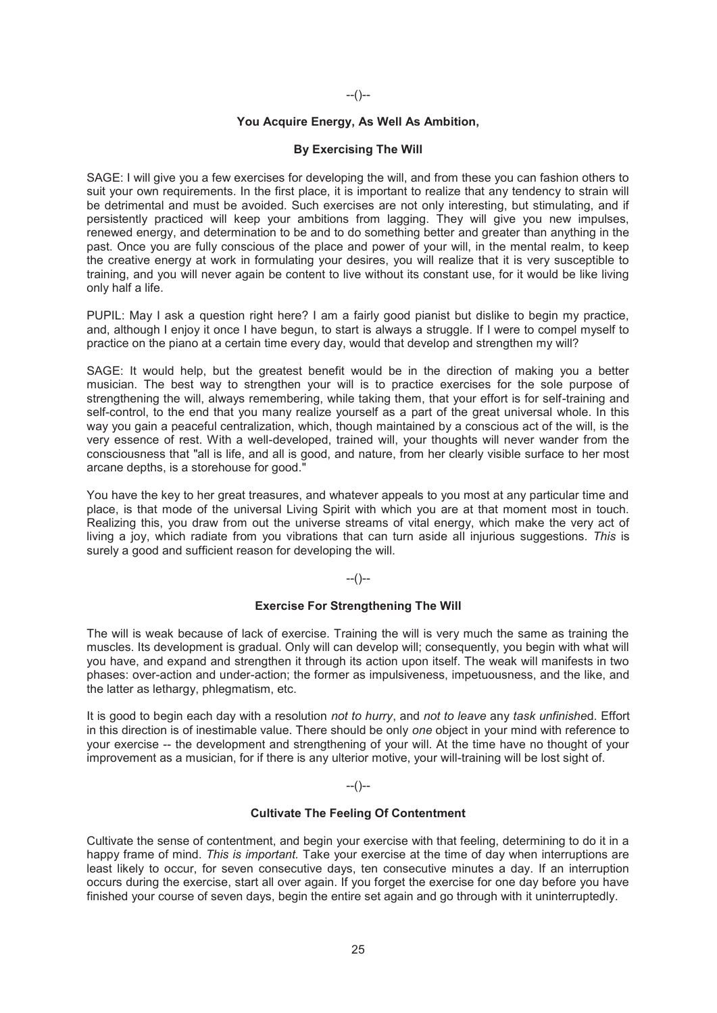#### --()--

#### **You Acquire Energy, As Well As Ambition,**

#### **By Exercising The Will**

SAGE: I will give you a few exercises for developing the will, and from these you can fashion others to suit your own requirements. In the first place, it is important to realize that any tendency to strain will be detrimental and must be avoided. Such exercises are not only interesting, but stimulating, and if persistently practiced will keep your ambitions from lagging. They will give you new impulses, renewed energy, and determination to be and to do something better and greater than anything in the past. Once you are fully conscious of the place and power of your will, in the mental realm, to keep the creative energy at work in formulating your desires, you will realize that it is very susceptible to training, and you will never again be content to live without its constant use, for it would be like living only half a life.

PUPIL: May I ask a question right here? I am a fairly good pianist but dislike to begin my practice, and, although I enjoy it once I have begun, to start is always a struggle. If I were to compel myself to practice on the piano at a certain time every day, would that develop and strengthen my will?

SAGE: It would help, but the greatest benefit would be in the direction of making you a better musician. The best way to strengthen your will is to practice exercises for the sole purpose of strengthening the will, always remembering, while taking them, that your effort is for self-training and self-control, to the end that you many realize yourself as a part of the great universal whole. In this way you gain a peaceful centralization, which, though maintained by a conscious act of the will, is the very essence of rest. With a well-developed, trained will, your thoughts will never wander from the consciousness that "all is life, and all is good, and nature, from her clearly visible surface to her most arcane depths, is a storehouse for good."

You have the key to her great treasures, and whatever appeals to you most at any particular time and place, is that mode of the universal Living Spirit with which you are at that moment most in touch. Realizing this, you draw from out the universe streams of vital energy, which make the very act of living a joy, which radiate from you vibrations that can turn aside all injurious suggestions. *This* is surely a good and sufficient reason for developing the will.

--()--

#### **Exercise For Strengthening The Will**

The will is weak because of lack of exercise. Training the will is very much the same as training the muscles. Its development is gradual. Only will can develop will; consequently, you begin with what will you have, and expand and strengthen it through its action upon itself. The weak will manifests in two phases: over-action and under-action; the former as impulsiveness, impetuousness, and the like, and the latter as lethargy, phlegmatism, etc.

It is good to begin each day with a resolution *not to hurry*, and *not to leave* any *task unfinishe*d. Effort in this direction is of inestimable value. There should be only *one* object in your mind with reference to your exercise -- the development and strengthening of your will. At the time have no thought of your improvement as a musician, for if there is any ulterior motive, your will-training will be lost sight of.

## --()--

## **Cultivate The Feeling Of Contentment**

Cultivate the sense of contentment, and begin your exercise with that feeling, determining to do it in a happy frame of mind. *This is important.* Take your exercise at the time of day when interruptions are least likely to occur, for seven consecutive days, ten consecutive minutes a day. If an interruption occurs during the exercise, start all over again. If you forget the exercise for one day before you have finished your course of seven days, begin the entire set again and go through with it uninterruptedly.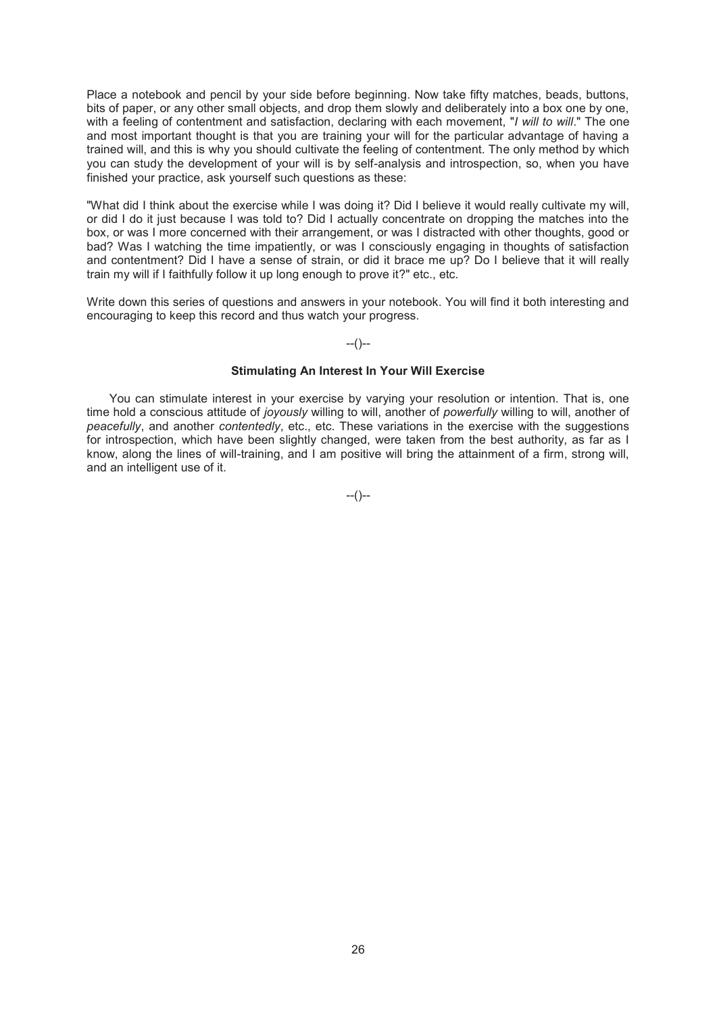Place a notebook and pencil by your side before beginning. Now take fifty matches, beads, buttons, bits of paper, or any other small objects, and drop them slowly and deliberately into a box one by one, with a feeling of contentment and satisfaction, declaring with each movement, "*I will to will*." The one and most important thought is that you are training your will for the particular advantage of having a trained will, and this is why you should cultivate the feeling of contentment. The only method by which you can study the development of your will is by self-analysis and introspection, so, when you have finished your practice, ask yourself such questions as these:

"What did I think about the exercise while I was doing it? Did I believe it would really cultivate my will, or did I do it just because I was told to? Did I actually concentrate on dropping the matches into the box, or was I more concerned with their arrangement, or was I distracted with other thoughts, good or bad? Was I watching the time impatiently, or was I consciously engaging in thoughts of satisfaction and contentment? Did I have a sense of strain, or did it brace me up? Do I believe that it will really train my will if I faithfully follow it up long enough to prove it?" etc., etc.

Write down this series of questions and answers in your notebook. You will find it both interesting and encouraging to keep this record and thus watch your progress.

## $-(-)$

#### **Stimulating An Interest In Your Will Exercise**

You can stimulate interest in your exercise by varying your resolution or intention. That is, one time hold a conscious attitude of *joyously* willing to will, another of *powerfully* willing to will, another of *peacefully*, and another *contentedly*, etc., etc. These variations in the exercise with the suggestions for introspection, which have been slightly changed, were taken from the best authority, as far as I know, along the lines of will-training, and I am positive will bring the attainment of a firm, strong will, and an intelligent use of it.

--()--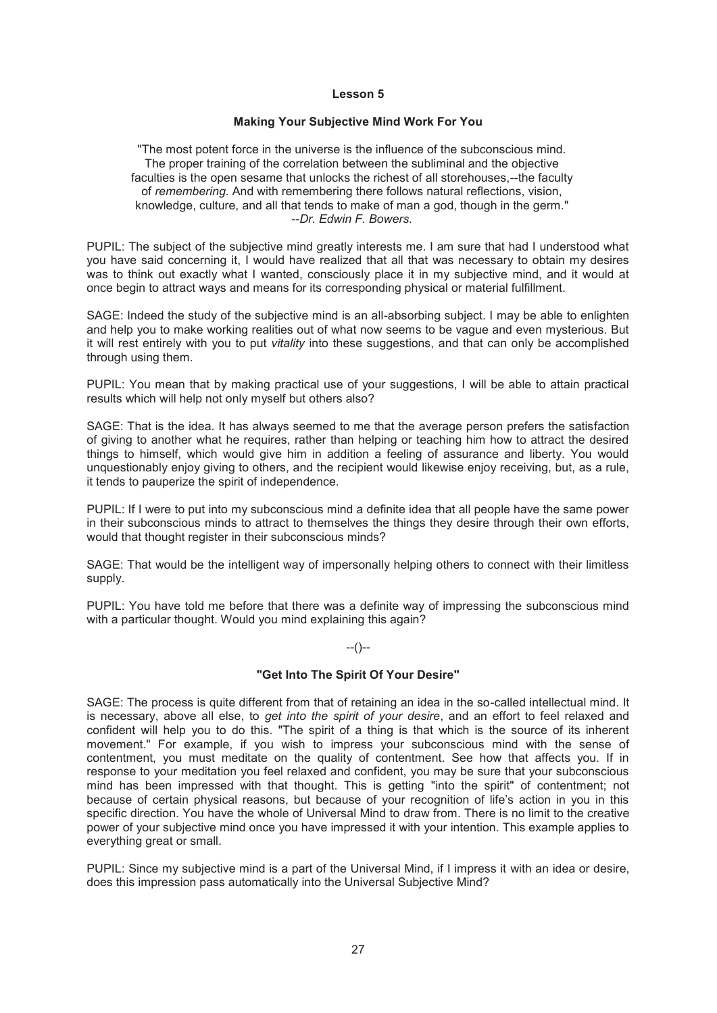## **Lesson 5**

## **Making Your Subjective Mind Work For You**

"The most potent force in the universe is the influence of the subconscious mind. The proper training of the correlation between the subliminal and the objective faculties is the open sesame that unlocks the richest of all storehouses,--the faculty of *remembering*. And with remembering there follows natural reflections, vision, knowledge, culture, and all that tends to make of man a god, though in the germ." --*Dr. Edwin F. Bowers.*

PUPIL: The subject of the subjective mind greatly interests me. I am sure that had I understood what you have said concerning it, I would have realized that all that was necessary to obtain my desires was to think out exactly what I wanted, consciously place it in my subjective mind, and it would at once begin to attract ways and means for its corresponding physical or material fulfillment.

SAGE: Indeed the study of the subjective mind is an all-absorbing subject. I may be able to enlighten and help you to make working realities out of what now seems to be vague and even mysterious. But it will rest entirely with you to put *vitality* into these suggestions, and that can only be accomplished through using them.

PUPIL: You mean that by making practical use of your suggestions, I will be able to attain practical results which will help not only myself but others also?

SAGE: That is the idea. It has always seemed to me that the average person prefers the satisfaction of giving to another what he requires, rather than helping or teaching him how to attract the desired things to himself, which would give him in addition a feeling of assurance and liberty. You would unquestionably enjoy giving to others, and the recipient would likewise enjoy receiving, but, as a rule, it tends to pauperize the spirit of independence.

PUPIL: If I were to put into my subconscious mind a definite idea that all people have the same power in their subconscious minds to attract to themselves the things they desire through their own efforts, would that thought register in their subconscious minds?

SAGE: That would be the intelligent way of impersonally helping others to connect with their limitless supply.

PUPIL: You have told me before that there was a definite way of impressing the subconscious mind with a particular thought. Would you mind explaining this again?

 $-(-)$ 

#### **"Get Into The Spirit Of Your Desire"**

SAGE: The process is quite different from that of retaining an idea in the so-called intellectual mind. It is necessary, above all else, to *get into the spirit of your desire*, and an effort to feel relaxed and confident will help you to do this. "The spirit of a thing is that which is the source of its inherent movement." For example, if you wish to impress your subconscious mind with the sense of contentment, you must meditate on the quality of contentment. See how that affects you. If in response to your meditation you feel relaxed and confident, you may be sure that your subconscious mind has been impressed with that thought. This is getting "into the spirit" of contentment; not because of certain physical reasons, but because of your recognition of life's action in you in this specific direction. You have the whole of Universal Mind to draw from. There is no limit to the creative power of your subjective mind once you have impressed it with your intention. This example applies to everything great or small.

PUPIL: Since my subjective mind is a part of the Universal Mind, if I impress it with an idea or desire, does this impression pass automatically into the Universal Subjective Mind?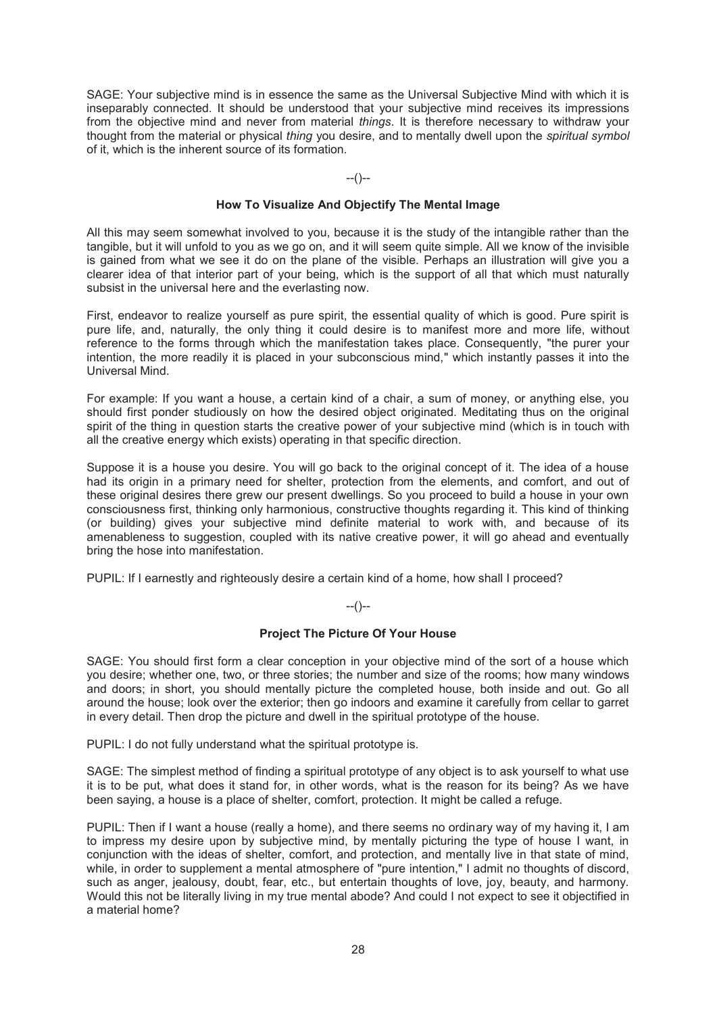SAGE: Your subjective mind is in essence the same as the Universal Subjective Mind with which it is inseparably connected. It should be understood that your subjective mind receives its impressions from the objective mind and never from material *things*. It is therefore necessary to withdraw your thought from the material or physical *thing* you desire, and to mentally dwell upon the *spiritual symbol*  of it, which is the inherent source of its formation.

 $-(-1)$ 

#### **How To Visualize And Objectify The Mental Image**

All this may seem somewhat involved to you, because it is the study of the intangible rather than the tangible, but it will unfold to you as we go on, and it will seem quite simple. All we know of the invisible is gained from what we see it do on the plane of the visible. Perhaps an illustration will give you a clearer idea of that interior part of your being, which is the support of all that which must naturally subsist in the universal here and the everlasting now.

First, endeavor to realize yourself as pure spirit, the essential quality of which is good. Pure spirit is pure life, and, naturally, the only thing it could desire is to manifest more and more life, without reference to the forms through which the manifestation takes place. Consequently, "the purer your intention, the more readily it is placed in your subconscious mind," which instantly passes it into the Universal Mind.

For example: If you want a house, a certain kind of a chair, a sum of money, or anything else, you should first ponder studiously on how the desired object originated. Meditating thus on the original spirit of the thing in question starts the creative power of your subjective mind (which is in touch with all the creative energy which exists) operating in that specific direction.

Suppose it is a house you desire. You will go back to the original concept of it. The idea of a house had its origin in a primary need for shelter, protection from the elements, and comfort, and out of these original desires there grew our present dwellings. So you proceed to build a house in your own consciousness first, thinking only harmonious, constructive thoughts regarding it. This kind of thinking (or building) gives your subjective mind definite material to work with, and because of its amenableness to suggestion, coupled with its native creative power, it will go ahead and eventually bring the hose into manifestation.

PUPIL: If I earnestly and righteously desire a certain kind of a home, how shall I proceed?

## $-(-)$

#### **Project The Picture Of Your House**

SAGE: You should first form a clear conception in your objective mind of the sort of a house which you desire; whether one, two, or three stories; the number and size of the rooms; how many windows and doors; in short, you should mentally picture the completed house, both inside and out. Go all around the house; look over the exterior; then go indoors and examine it carefully from cellar to garret in every detail. Then drop the picture and dwell in the spiritual prototype of the house.

PUPIL: I do not fully understand what the spiritual prototype is.

SAGE: The simplest method of finding a spiritual prototype of any object is to ask yourself to what use it is to be put, what does it stand for, in other words, what is the reason for its being? As we have been saying, a house is a place of shelter, comfort, protection. It might be called a refuge.

PUPIL: Then if I want a house (really a home), and there seems no ordinary way of my having it, I am to impress my desire upon by subjective mind, by mentally picturing the type of house I want, in conjunction with the ideas of shelter, comfort, and protection, and mentally live in that state of mind, while, in order to supplement a mental atmosphere of "pure intention," I admit no thoughts of discord, such as anger, jealousy, doubt, fear, etc., but entertain thoughts of love, joy, beauty, and harmony. Would this not be literally living in my true mental abode? And could I not expect to see it objectified in a material home?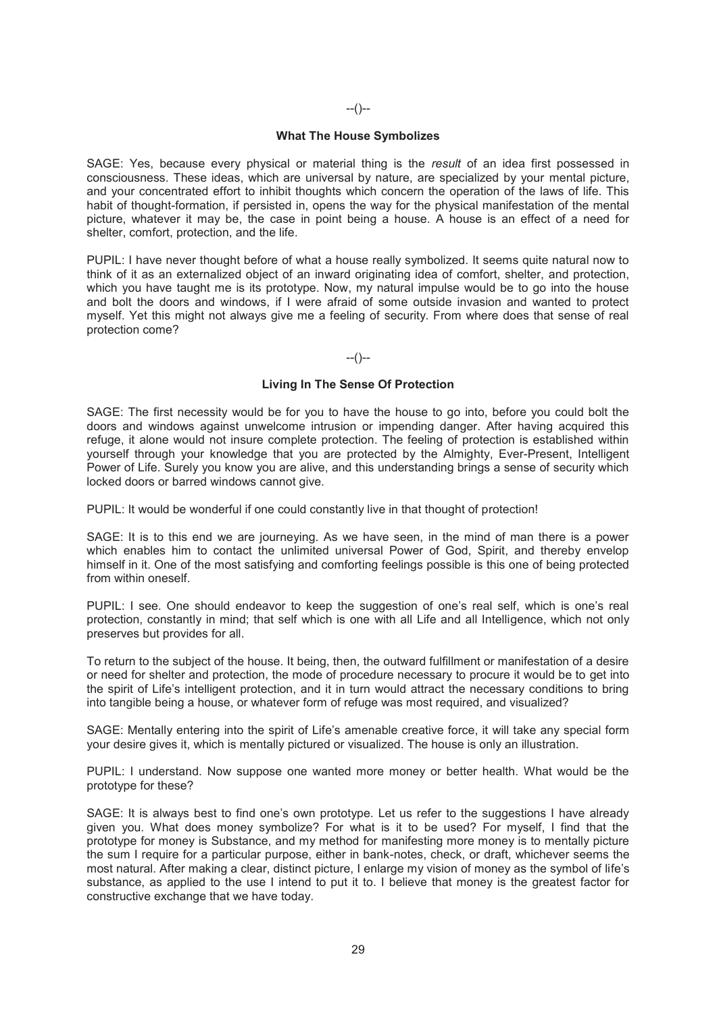#### --()--

#### **What The House Symbolizes**

SAGE: Yes, because every physical or material thing is the *result* of an idea first possessed in consciousness. These ideas, which are universal by nature, are specialized by your mental picture, and your concentrated effort to inhibit thoughts which concern the operation of the laws of life. This habit of thought-formation, if persisted in, opens the way for the physical manifestation of the mental picture, whatever it may be, the case in point being a house. A house is an effect of a need for shelter, comfort, protection, and the life.

PUPIL: I have never thought before of what a house really symbolized. It seems quite natural now to think of it as an externalized object of an inward originating idea of comfort, shelter, and protection, which you have taught me is its prototype. Now, my natural impulse would be to go into the house and bolt the doors and windows, if I were afraid of some outside invasion and wanted to protect myself. Yet this might not always give me a feeling of security. From where does that sense of real protection come?

#### --()--

#### **Living In The Sense Of Protection**

SAGE: The first necessity would be for you to have the house to go into, before you could bolt the doors and windows against unwelcome intrusion or impending danger. After having acquired this refuge, it alone would not insure complete protection. The feeling of protection is established within yourself through your knowledge that you are protected by the Almighty, Ever-Present, Intelligent Power of Life. Surely you know you are alive, and this understanding brings a sense of security which locked doors or barred windows cannot give.

PUPIL: It would be wonderful if one could constantly live in that thought of protection!

SAGE: It is to this end we are journeying. As we have seen, in the mind of man there is a power which enables him to contact the unlimited universal Power of God. Spirit, and thereby envelop himself in it. One of the most satisfying and comforting feelings possible is this one of being protected from within oneself.

PUPIL: I see. One should endeavor to keep the suggestion of one's real self, which is one's real protection, constantly in mind; that self which is one with all Life and all Intelligence, which not only preserves but provides for all.

To return to the subject of the house. It being, then, the outward fulfillment or manifestation of a desire or need for shelter and protection, the mode of procedure necessary to procure it would be to get into the spirit of Life's intelligent protection, and it in turn would attract the necessary conditions to bring into tangible being a house, or whatever form of refuge was most required, and visualized?

SAGE: Mentally entering into the spirit of Life's amenable creative force, it will take any special form your desire gives it, which is mentally pictured or visualized. The house is only an illustration.

PUPIL: I understand. Now suppose one wanted more money or better health. What would be the prototype for these?

SAGE: It is always best to find one's own prototype. Let us refer to the suggestions I have already given you. What does money symbolize? For what is it to be used? For myself, I find that the prototype for money is Substance, and my method for manifesting more money is to mentally picture the sum I require for a particular purpose, either in bank-notes, check, or draft, whichever seems the most natural. After making a clear, distinct picture, I enlarge my vision of money as the symbol of life's substance, as applied to the use I intend to put it to. I believe that money is the greatest factor for constructive exchange that we have today.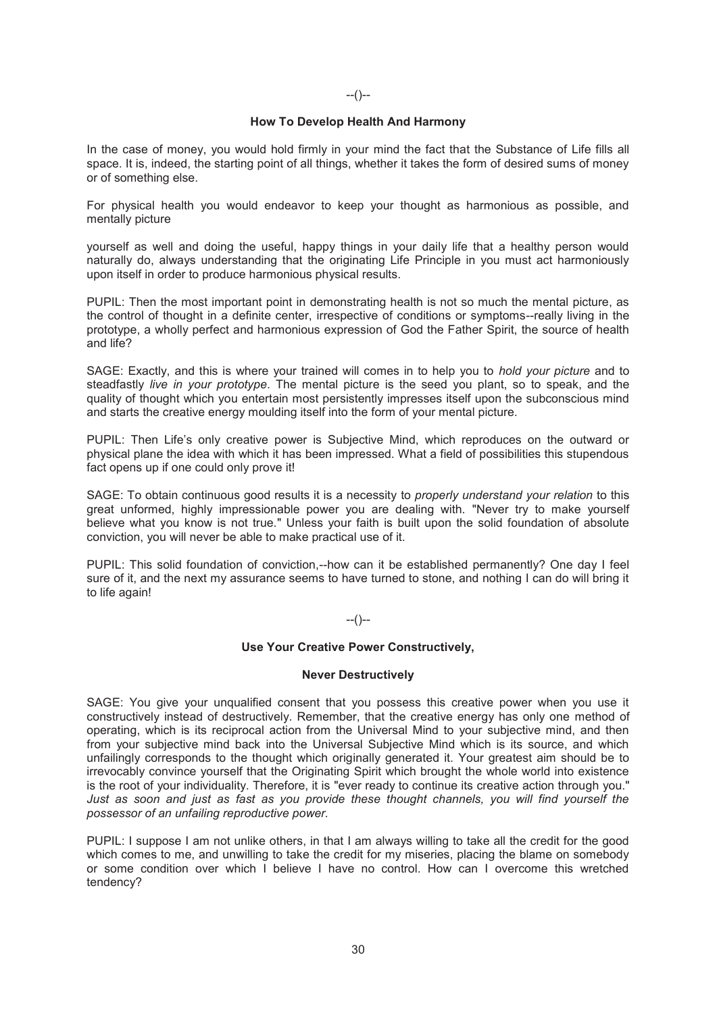#### --()--

#### **How To Develop Health And Harmony**

In the case of money, you would hold firmly in your mind the fact that the Substance of Life fills all space. It is, indeed, the starting point of all things, whether it takes the form of desired sums of money or of something else.

For physical health you would endeavor to keep your thought as harmonious as possible, and mentally picture

yourself as well and doing the useful, happy things in your daily life that a healthy person would naturally do, always understanding that the originating Life Principle in you must act harmoniously upon itself in order to produce harmonious physical results.

PUPIL: Then the most important point in demonstrating health is not so much the mental picture, as the control of thought in a definite center, irrespective of conditions or symptoms--really living in the prototype, a wholly perfect and harmonious expression of God the Father Spirit, the source of health and life?

SAGE: Exactly, and this is where your trained will comes in to help you to *hold your picture* and to steadfastly *live in your prototype*. The mental picture is the seed you plant, so to speak, and the quality of thought which you entertain most persistently impresses itself upon the subconscious mind and starts the creative energy moulding itself into the form of your mental picture.

PUPIL: Then Life's only creative power is Subjective Mind, which reproduces on the outward or physical plane the idea with which it has been impressed. What a field of possibilities this stupendous fact opens up if one could only prove it!

SAGE: To obtain continuous good results it is a necessity to *properly understand your relation* to this great unformed, highly impressionable power you are dealing with. "Never try to make yourself believe what you know is not true." Unless your faith is built upon the solid foundation of absolute conviction, you will never be able to make practical use of it.

PUPIL: This solid foundation of conviction,--how can it be established permanently? One day I feel sure of it, and the next my assurance seems to have turned to stone, and nothing I can do will bring it to life again!

--()--

#### **Use Your Creative Power Constructively,**

#### **Never Destructively**

SAGE: You give your unqualified consent that you possess this creative power when you use it constructively instead of destructively. Remember, that the creative energy has only one method of operating, which is its reciprocal action from the Universal Mind to your subjective mind, and then from your subjective mind back into the Universal Subjective Mind which is its source, and which unfailingly corresponds to the thought which originally generated it. Your greatest aim should be to irrevocably convince yourself that the Originating Spirit which brought the whole world into existence is the root of your individuality. Therefore, it is "ever ready to continue its creative action through you." *Just as soon and just as fast as you provide these thought channels, you will find yourself the possessor of an unfailing reproductive power.* 

PUPIL: I suppose I am not unlike others, in that I am always willing to take all the credit for the good which comes to me, and unwilling to take the credit for my miseries, placing the blame on somebody or some condition over which I believe I have no control. How can I overcome this wretched tendency?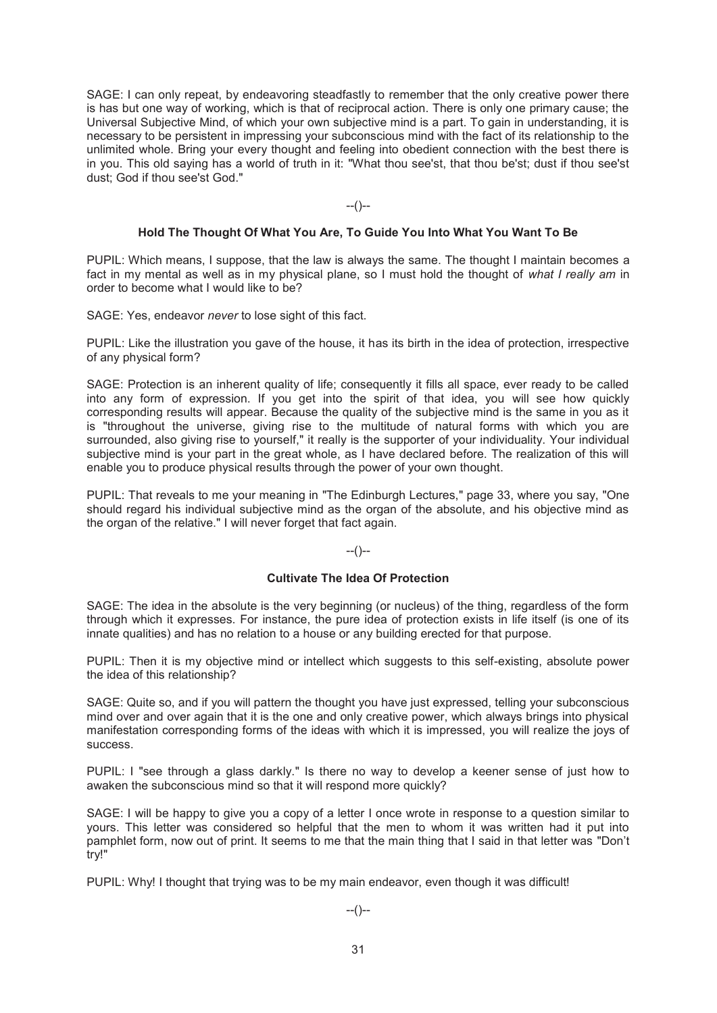SAGE: I can only repeat, by endeavoring steadfastly to remember that the only creative power there is has but one way of working, which is that of reciprocal action. There is only one primary cause; the Universal Subjective Mind, of which your own subjective mind is a part. To gain in understanding, it is necessary to be persistent in impressing your subconscious mind with the fact of its relationship to the unlimited whole. Bring your every thought and feeling into obedient connection with the best there is in you. This old saying has a world of truth in it: "What thou see'st, that thou be'st; dust if thou see'st dust; God if thou see'st God."

## --()--

## **Hold The Thought Of What You Are, To Guide You Into What You Want To Be**

PUPIL: Which means, I suppose, that the law is always the same. The thought I maintain becomes a fact in my mental as well as in my physical plane, so I must hold the thought of *what I really am* in order to become what I would like to be?

SAGE: Yes, endeavor *never* to lose sight of this fact.

PUPIL: Like the illustration you gave of the house, it has its birth in the idea of protection, irrespective of any physical form?

SAGE: Protection is an inherent quality of life; consequently it fills all space, ever ready to be called into any form of expression. If you get into the spirit of that idea, you will see how quickly corresponding results will appear. Because the quality of the subjective mind is the same in you as it is "throughout the universe, giving rise to the multitude of natural forms with which you are surrounded, also giving rise to yourself," it really is the supporter of your individuality. Your individual subjective mind is your part in the great whole, as I have declared before. The realization of this will enable you to produce physical results through the power of your own thought.

PUPIL: That reveals to me your meaning in "The Edinburgh Lectures," page 33, where you say, "One should regard his individual subjective mind as the organ of the absolute, and his objective mind as the organ of the relative." I will never forget that fact again.

# $-(-)$

## **Cultivate The Idea Of Protection**

SAGE: The idea in the absolute is the very beginning (or nucleus) of the thing, regardless of the form through which it expresses. For instance, the pure idea of protection exists in life itself (is one of its innate qualities) and has no relation to a house or any building erected for that purpose.

PUPIL: Then it is my objective mind or intellect which suggests to this self-existing, absolute power the idea of this relationship?

SAGE: Quite so, and if you will pattern the thought you have just expressed, telling your subconscious mind over and over again that it is the one and only creative power, which always brings into physical manifestation corresponding forms of the ideas with which it is impressed, you will realize the joys of success.

PUPIL: I "see through a glass darkly." Is there no way to develop a keener sense of just how to awaken the subconscious mind so that it will respond more quickly?

SAGE: I will be happy to give you a copy of a letter I once wrote in response to a question similar to yours. This letter was considered so helpful that the men to whom it was written had it put into pamphlet form, now out of print. It seems to me that the main thing that I said in that letter was "Don't try!"

PUPIL: Why! I thought that trying was to be my main endeavor, even though it was difficult!

--()--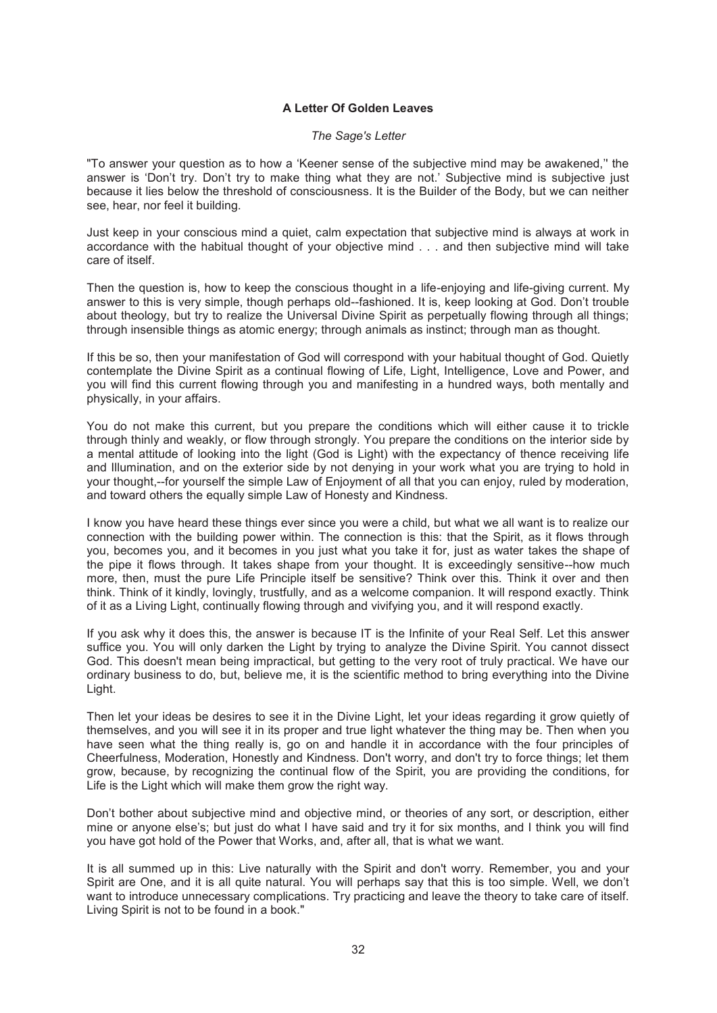## **A Letter Of Golden Leaves**

#### *The Sage's Letter*

"To answer your question as to how a 'Keener sense of the subjective mind may be awakened,'' the answer is 'Don't try. Don't try to make thing what they are not.' Subjective mind is subjective just because it lies below the threshold of consciousness. It is the Builder of the Body, but we can neither see, hear, nor feel it building.

Just keep in your conscious mind a quiet, calm expectation that subjective mind is always at work in accordance with the habitual thought of your objective mind . . . and then subjective mind will take care of itself.

Then the question is, how to keep the conscious thought in a life-enjoying and life-giving current. My answer to this is very simple, though perhaps old--fashioned. It is, keep looking at God. Don't trouble about theology, but try to realize the Universal Divine Spirit as perpetually flowing through all things; through insensible things as atomic energy; through animals as instinct; through man as thought.

If this be so, then your manifestation of God will correspond with your habitual thought of God. Quietly contemplate the Divine Spirit as a continual flowing of Life, Light, Intelligence, Love and Power, and you will find this current flowing through you and manifesting in a hundred ways, both mentally and physically, in your affairs.

You do not make this current, but you prepare the conditions which will either cause it to trickle through thinly and weakly, or flow through strongly. You prepare the conditions on the interior side by a mental attitude of looking into the light (God is Light) with the expectancy of thence receiving life and Illumination, and on the exterior side by not denying in your work what you are trying to hold in your thought,--for yourself the simple Law of Enjoyment of all that you can enjoy, ruled by moderation, and toward others the equally simple Law of Honesty and Kindness.

I know you have heard these things ever since you were a child, but what we all want is to realize our connection with the building power within. The connection is this: that the Spirit, as it flows through you, becomes you, and it becomes in you just what you take it for, just as water takes the shape of the pipe it flows through. It takes shape from your thought. It is exceedingly sensitive--how much more, then, must the pure Life Principle itself be sensitive? Think over this. Think it over and then think. Think of it kindly, lovingly, trustfully, and as a welcome companion. It will respond exactly. Think of it as a Living Light, continually flowing through and vivifying you, and it will respond exactly.

If you ask why it does this, the answer is because IT is the Infinite of your Real Self. Let this answer suffice you. You will only darken the Light by trying to analyze the Divine Spirit. You cannot dissect God. This doesn't mean being impractical, but getting to the very root of truly practical. We have our ordinary business to do, but, believe me, it is the scientific method to bring everything into the Divine Light.

Then let your ideas be desires to see it in the Divine Light, let your ideas regarding it grow quietly of themselves, and you will see it in its proper and true light whatever the thing may be. Then when you have seen what the thing really is, go on and handle it in accordance with the four principles of Cheerfulness, Moderation, Honestly and Kindness. Don't worry, and don't try to force things; let them grow, because, by recognizing the continual flow of the Spirit, you are providing the conditions, for Life is the Light which will make them grow the right way.

Don't bother about subjective mind and objective mind, or theories of any sort, or description, either mine or anyone else's; but just do what I have said and try it for six months, and I think you will find you have got hold of the Power that Works, and, after all, that is what we want.

It is all summed up in this: Live naturally with the Spirit and don't worry. Remember, you and your Spirit are One, and it is all quite natural. You will perhaps say that this is too simple. Well, we don't want to introduce unnecessary complications. Try practicing and leave the theory to take care of itself. Living Spirit is not to be found in a book."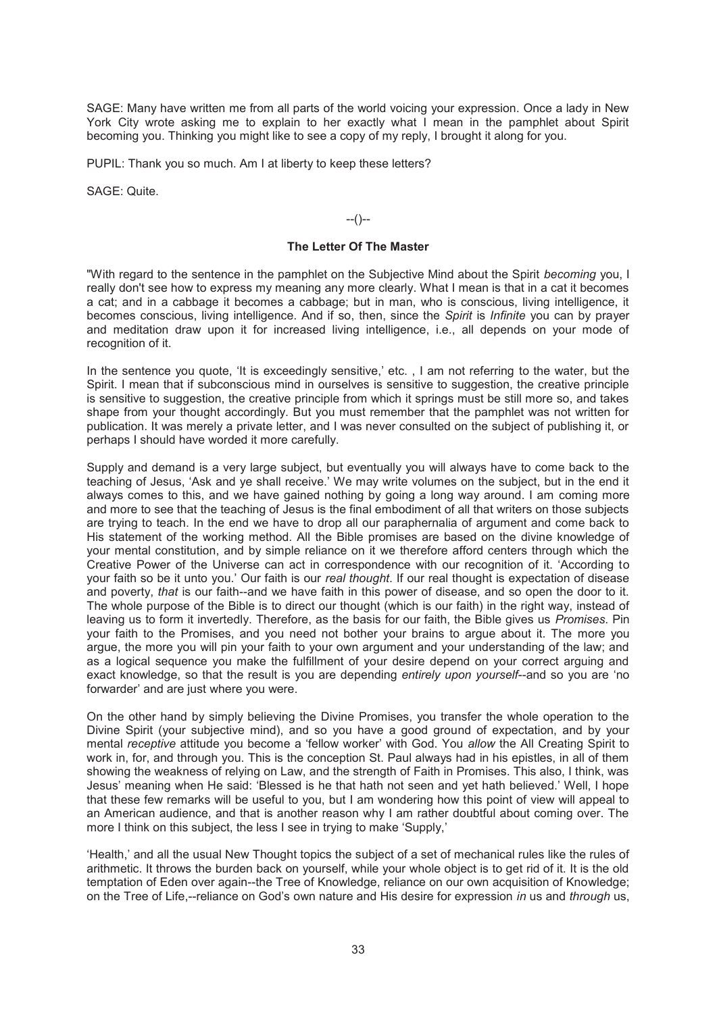SAGE: Many have written me from all parts of the world voicing your expression. Once a lady in New York City wrote asking me to explain to her exactly what I mean in the pamphlet about Spirit becoming you. Thinking you might like to see a copy of my reply, I brought it along for you.

PUPIL: Thank you so much. Am I at liberty to keep these letters?

SAGE: Quite.

## $-(-)$

#### **The Letter Of The Master**

"With regard to the sentence in the pamphlet on the Subjective Mind about the Spirit *becoming* you, I really don't see how to express my meaning any more clearly. What I mean is that in a cat it becomes a cat; and in a cabbage it becomes a cabbage; but in man, who is conscious, living intelligence, it becomes conscious, living intelligence. And if so, then, since the *Spirit* is *Infinite* you can by prayer and meditation draw upon it for increased living intelligence, i.e., all depends on your mode of recognition of it.

In the sentence you quote, 'It is exceedingly sensitive,' etc., I am not referring to the water, but the Spirit. I mean that if subconscious mind in ourselves is sensitive to suggestion, the creative principle is sensitive to suggestion, the creative principle from which it springs must be still more so, and takes shape from your thought accordingly. But you must remember that the pamphlet was not written for publication. It was merely a private letter, and I was never consulted on the subject of publishing it, or perhaps I should have worded it more carefully.

Supply and demand is a very large subject, but eventually you will always have to come back to the teaching of Jesus, 'Ask and ye shall receive.' We may write volumes on the subject, but in the end it always comes to this, and we have gained nothing by going a long way around. I am coming more and more to see that the teaching of Jesus is the final embodiment of all that writers on those subjects are trying to teach. In the end we have to drop all our paraphernalia of argument and come back to His statement of the working method. All the Bible promises are based on the divine knowledge of your mental constitution, and by simple reliance on it we therefore afford centers through which the Creative Power of the Universe can act in correspondence with our recognition of it. 'According to your faith so be it unto you.' Our faith is our *real thought*. If our real thought is expectation of disease and poverty, *that* is our faith--and we have faith in this power of disease, and so open the door to it. The whole purpose of the Bible is to direct our thought (which is our faith) in the right way, instead of leaving us to form it invertedly. Therefore, as the basis for our faith, the Bible gives us *Promises*. Pin your faith to the Promises, and you need not bother your brains to argue about it. The more you argue, the more you will pin your faith to your own argument and your understanding of the law; and as a logical sequence you make the fulfillment of your desire depend on your correct arguing and exact knowledge, so that the result is you are depending *entirely upon yourself*--and so you are 'no forwarder' and are just where you were.

On the other hand by simply believing the Divine Promises, you transfer the whole operation to the Divine Spirit (your subjective mind), and so you have a good ground of expectation, and by your mental *receptive* attitude you become a 'fellow worker' with God. You *allow* the All Creating Spirit to work in, for, and through you. This is the conception St. Paul always had in his epistles, in all of them showing the weakness of relying on Law, and the strength of Faith in Promises. This also, I think, was Jesus' meaning when He said: 'Blessed is he that hath not seen and yet hath believed.' Well, I hope that these few remarks will be useful to you, but I am wondering how this point of view will appeal to an American audience, and that is another reason why I am rather doubtful about coming over. The more I think on this subject, the less I see in trying to make 'Supply,'

'Health,' and all the usual New Thought topics the subject of a set of mechanical rules like the rules of arithmetic. It throws the burden back on yourself, while your whole object is to get rid of it. It is the old temptation of Eden over again--the Tree of Knowledge, reliance on our own acquisition of Knowledge; on the Tree of Life,--reliance on God's own nature and His desire for expression *in* us and *through* us,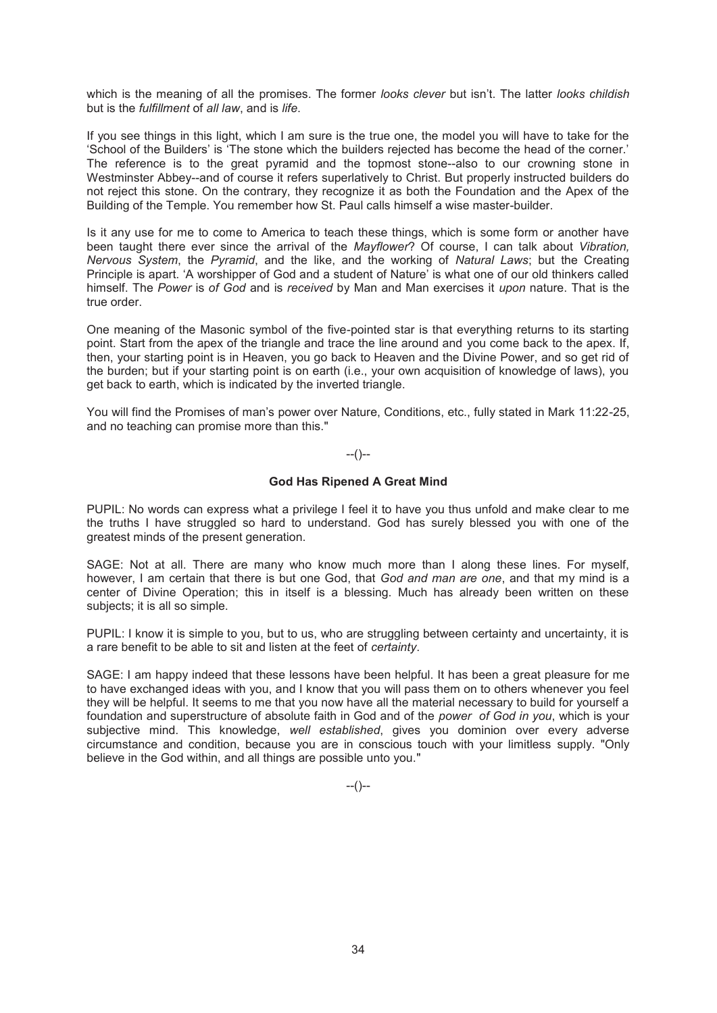which is the meaning of all the promises. The former *looks clever* but isn't. The latter *looks childish*  but is the *fulfillment* of *all law*, and is *life*.

If you see things in this light, which I am sure is the true one, the model you will have to take for the 'School of the Builders' is 'The stone which the builders rejected has become the head of the corner.' The reference is to the great pyramid and the topmost stone--also to our crowning stone in Westminster Abbey--and of course it refers superlatively to Christ. But properly instructed builders do not reject this stone. On the contrary, they recognize it as both the Foundation and the Apex of the Building of the Temple. You remember how St. Paul calls himself a wise master-builder.

Is it any use for me to come to America to teach these things, which is some form or another have been taught there ever since the arrival of the *Mayflower*? Of course, I can talk about *Vibration, Nervous System*, the *Pyramid*, and the like, and the working of *Natural Laws*; but the Creating Principle is apart. 'A worshipper of God and a student of Nature' is what one of our old thinkers called himself. The *Power* is *of God* and is *received* by Man and Man exercises it *upon* nature. That is the true order.

One meaning of the Masonic symbol of the five-pointed star is that everything returns to its starting point. Start from the apex of the triangle and trace the line around and you come back to the apex. If, then, your starting point is in Heaven, you go back to Heaven and the Divine Power, and so get rid of the burden; but if your starting point is on earth (i.e., your own acquisition of knowledge of laws), you get back to earth, which is indicated by the inverted triangle.

You will find the Promises of man's power over Nature, Conditions, etc., fully stated in Mark 11:22-25, and no teaching can promise more than this."

# $-(-)$

## **God Has Ripened A Great Mind**

PUPIL: No words can express what a privilege I feel it to have you thus unfold and make clear to me the truths I have struggled so hard to understand. God has surely blessed you with one of the greatest minds of the present generation.

SAGE: Not at all. There are many who know much more than I along these lines. For myself, however, I am certain that there is but one God, that *God and man are one*, and that my mind is a center of Divine Operation; this in itself is a blessing. Much has already been written on these subjects; it is all so simple.

PUPIL: I know it is simple to you, but to us, who are struggling between certainty and uncertainty, it is a rare benefit to be able to sit and listen at the feet of *certainty*.

SAGE: I am happy indeed that these lessons have been helpful. It has been a great pleasure for me to have exchanged ideas with you, and I know that you will pass them on to others whenever you feel they will be helpful. It seems to me that you now have all the material necessary to build for yourself a foundation and superstructure of absolute faith in God and of the *power of God in you*, which is your subjective mind. This knowledge, *well established*, gives you dominion over every adverse circumstance and condition, because you are in conscious touch with your limitless supply. "Only believe in the God within, and all things are possible unto you."

--()--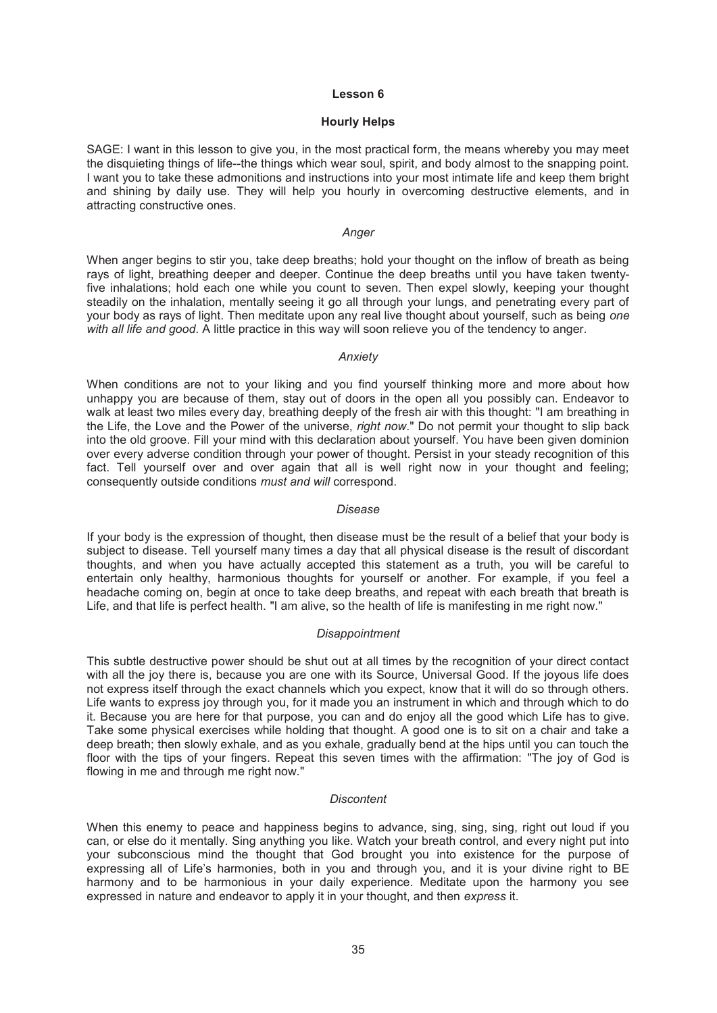## **Lesson 6**

## **Hourly Helps**

SAGE: I want in this lesson to give you, in the most practical form, the means whereby you may meet the disquieting things of life--the things which wear soul, spirit, and body almost to the snapping point. I want you to take these admonitions and instructions into your most intimate life and keep them bright and shining by daily use. They will help you hourly in overcoming destructive elements, and in attracting constructive ones.

#### *Anger*

When anger begins to stir you, take deep breaths; hold your thought on the inflow of breath as being rays of light, breathing deeper and deeper. Continue the deep breaths until you have taken twentyfive inhalations; hold each one while you count to seven. Then expel slowly, keeping your thought steadily on the inhalation, mentally seeing it go all through your lungs, and penetrating every part of your body as rays of light. Then meditate upon any real live thought about yourself, such as being *one with all life and good*. A little practice in this way will soon relieve you of the tendency to anger.

#### *Anxiety*

When conditions are not to your liking and you find yourself thinking more and more about how unhappy you are because of them, stay out of doors in the open all you possibly can. Endeavor to walk at least two miles every day, breathing deeply of the fresh air with this thought: "I am breathing in the Life, the Love and the Power of the universe, *right now*." Do not permit your thought to slip back into the old groove. Fill your mind with this declaration about yourself. You have been given dominion over every adverse condition through your power of thought. Persist in your steady recognition of this fact. Tell yourself over and over again that all is well right now in your thought and feeling; consequently outside conditions *must and will* correspond.

#### *Disease*

If your body is the expression of thought, then disease must be the result of a belief that your body is subject to disease. Tell yourself many times a day that all physical disease is the result of discordant thoughts, and when you have actually accepted this statement as a truth, you will be careful to entertain only healthy, harmonious thoughts for yourself or another. For example, if you feel a headache coming on, begin at once to take deep breaths, and repeat with each breath that breath is Life, and that life is perfect health. "I am alive, so the health of life is manifesting in me right now."

#### *Disappointment*

This subtle destructive power should be shut out at all times by the recognition of your direct contact with all the joy there is, because you are one with its Source, Universal Good. If the joyous life does not express itself through the exact channels which you expect, know that it will do so through others. Life wants to express joy through you, for it made you an instrument in which and through which to do it. Because you are here for that purpose, you can and do enjoy all the good which Life has to give. Take some physical exercises while holding that thought. A good one is to sit on a chair and take a deep breath; then slowly exhale, and as you exhale, gradually bend at the hips until you can touch the floor with the tips of your fingers. Repeat this seven times with the affirmation: "The joy of God is flowing in me and through me right now."

#### *Discontent*

When this enemy to peace and happiness begins to advance, sing, sing, sing, right out loud if you can, or else do it mentally. Sing anything you like. Watch your breath control, and every night put into your subconscious mind the thought that God brought you into existence for the purpose of expressing all of Life's harmonies, both in you and through you, and it is your divine right to BE harmony and to be harmonious in your daily experience. Meditate upon the harmony you see expressed in nature and endeavor to apply it in your thought, and then *express* it.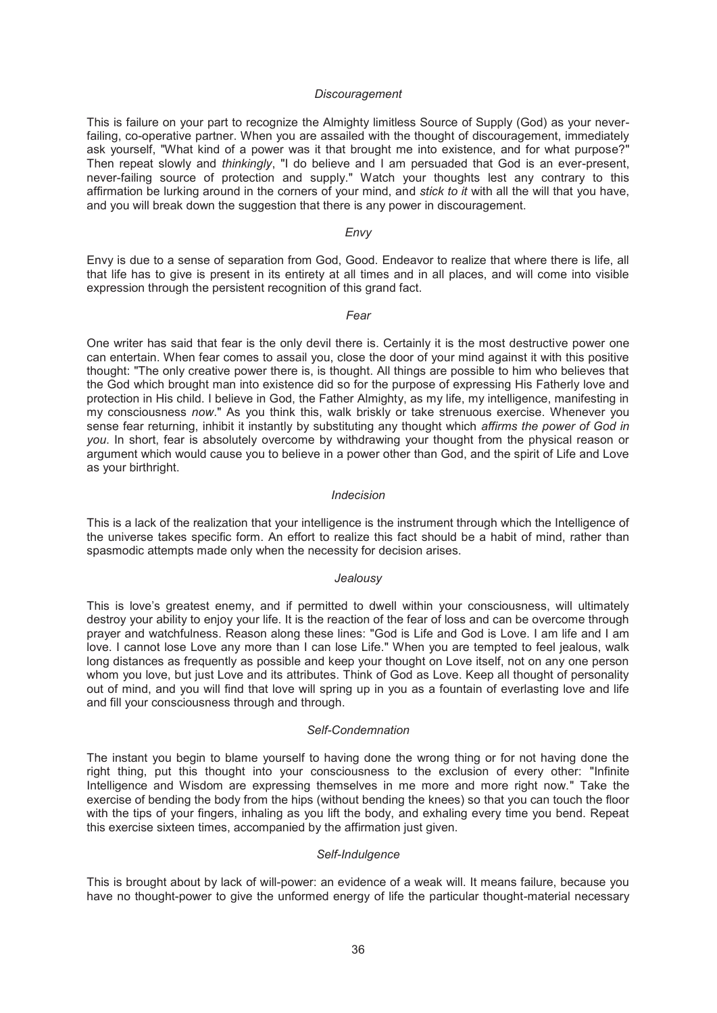#### *Discouragement*

This is failure on your part to recognize the Almighty limitless Source of Supply (God) as your neverfailing, co-operative partner. When you are assailed with the thought of discouragement, immediately ask yourself, "What kind of a power was it that brought me into existence, and for what purpose?" Then repeat slowly and *thinkingly*, "I do believe and I am persuaded that God is an ever-present, never-failing source of protection and supply." Watch your thoughts lest any contrary to this affirmation be lurking around in the corners of your mind, and *stick to it* with all the will that you have, and you will break down the suggestion that there is any power in discouragement.

#### *Envy*

Envy is due to a sense of separation from God, Good. Endeavor to realize that where there is life, all that life has to give is present in its entirety at all times and in all places, and will come into visible expression through the persistent recognition of this grand fact.

#### *Fear*

One writer has said that fear is the only devil there is. Certainly it is the most destructive power one can entertain. When fear comes to assail you, close the door of your mind against it with this positive thought: "The only creative power there is, is thought. All things are possible to him who believes that the God which brought man into existence did so for the purpose of expressing His Fatherly love and protection in His child. I believe in God, the Father Almighty, as my life, my intelligence, manifesting in my consciousness *now*." As you think this, walk briskly or take strenuous exercise. Whenever you sense fear returning, inhibit it instantly by substituting any thought which *affirms the power of God in you*. In short, fear is absolutely overcome by withdrawing your thought from the physical reason or argument which would cause you to believe in a power other than God, and the spirit of Life and Love as your birthright.

#### *Indecision*

This is a lack of the realization that your intelligence is the instrument through which the Intelligence of the universe takes specific form. An effort to realize this fact should be a habit of mind, rather than spasmodic attempts made only when the necessity for decision arises.

## *Jealousy*

This is love's greatest enemy, and if permitted to dwell within your consciousness, will ultimately destroy your ability to enjoy your life. It is the reaction of the fear of loss and can be overcome through prayer and watchfulness. Reason along these lines: "God is Life and God is Love. I am life and I am love. I cannot lose Love any more than I can lose Life." When you are tempted to feel jealous, walk long distances as frequently as possible and keep your thought on Love itself, not on any one person whom you love, but just Love and its attributes. Think of God as Love. Keep all thought of personality out of mind, and you will find that love will spring up in you as a fountain of everlasting love and life and fill your consciousness through and through.

## *Self-Condemnation*

The instant you begin to blame yourself to having done the wrong thing or for not having done the right thing, put this thought into your consciousness to the exclusion of every other: "Infinite Intelligence and Wisdom are expressing themselves in me more and more right now." Take the exercise of bending the body from the hips (without bending the knees) so that you can touch the floor with the tips of your fingers, inhaling as you lift the body, and exhaling every time you bend. Repeat this exercise sixteen times, accompanied by the affirmation just given.

#### *Self-Indulgence*

This is brought about by lack of will-power: an evidence of a weak will. It means failure, because you have no thought-power to give the unformed energy of life the particular thought-material necessary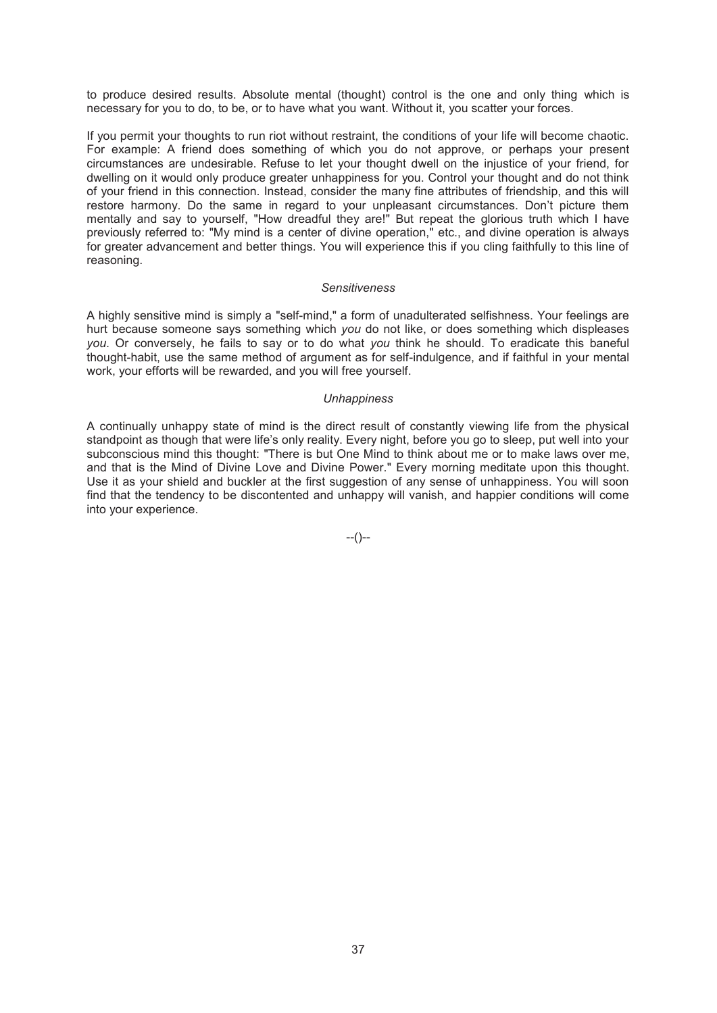to produce desired results. Absolute mental (thought) control is the one and only thing which is necessary for you to do, to be, or to have what you want. Without it, you scatter your forces.

If you permit your thoughts to run riot without restraint, the conditions of your life will become chaotic. For example: A friend does something of which you do not approve, or perhaps your present circumstances are undesirable. Refuse to let your thought dwell on the injustice of your friend, for dwelling on it would only produce greater unhappiness for you. Control your thought and do not think of your friend in this connection. Instead, consider the many fine attributes of friendship, and this will restore harmony. Do the same in regard to your unpleasant circumstances. Don't picture them mentally and say to yourself. "How dreadful they are!" But repeat the glorious truth which I have previously referred to: "My mind is a center of divine operation," etc., and divine operation is always for greater advancement and better things. You will experience this if you cling faithfully to this line of reasoning.

## *Sensitiveness*

A highly sensitive mind is simply a "self-mind," a form of unadulterated selfishness. Your feelings are hurt because someone says something which *you* do not like, or does something which displeases *you*. Or conversely, he fails to say or to do what *you* think he should. To eradicate this baneful thought-habit, use the same method of argument as for self-indulgence, and if faithful in your mental work, your efforts will be rewarded, and you will free yourself.

#### *Unhappiness*

A continually unhappy state of mind is the direct result of constantly viewing life from the physical standpoint as though that were life's only reality. Every night, before you go to sleep, put well into your subconscious mind this thought: "There is but One Mind to think about me or to make laws over me, and that is the Mind of Divine Love and Divine Power." Every morning meditate upon this thought. Use it as your shield and buckler at the first suggestion of any sense of unhappiness. You will soon find that the tendency to be discontented and unhappy will vanish, and happier conditions will come into your experience.

 $-(-)$